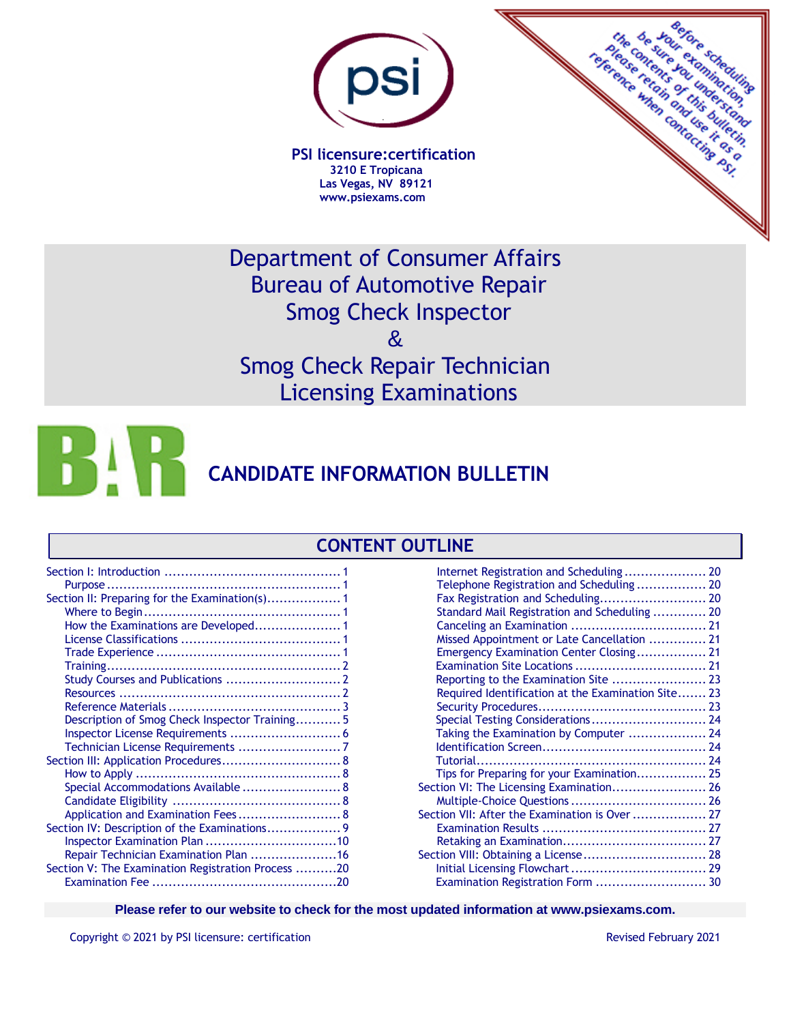

 **PSI licensure:certification 3210 E Tropicana Las Vegas, NV 89121 www.psiexams.com**

**References** the content of the fact of the fact of the fact of the fact of the fact of the fact of the fact of the fact of vour. nte.c rafe on this british r exemplation

Department of Consumer Affairs Bureau of Automotive Repair Smog Check Inspector  $\mathbf{\alpha}$ Smog Check Repair Technician

Licensing Examinations

**HAI CANDIDATE INFORMATION BULLETIN**

# **CONTENT OUTLINE**

| Description of Smog Check Inspector Training 5     |  |
|----------------------------------------------------|--|
|                                                    |  |
|                                                    |  |
| Section III: Application Procedures 8              |  |
|                                                    |  |
| Special Accommodations Available  8                |  |
|                                                    |  |
| Application and Examination Fees 8                 |  |
| Section IV: Description of the Examinations 9      |  |
|                                                    |  |
| Repair Technician Examination Plan 16              |  |
| Section V: The Examination Registration Process 20 |  |
|                                                    |  |
|                                                    |  |

| Telephone Registration and Scheduling 20           |  |
|----------------------------------------------------|--|
|                                                    |  |
| Standard Mail Registration and Scheduling  20      |  |
|                                                    |  |
| Missed Appointment or Late Cancellation  21        |  |
| Emergency Examination Center Closing 21            |  |
|                                                    |  |
|                                                    |  |
| Required Identification at the Examination Site 23 |  |
|                                                    |  |
| Special Testing Considerations 24                  |  |
| Taking the Examination by Computer  24             |  |
|                                                    |  |
|                                                    |  |
| Tips for Preparing for your Examination 25         |  |
| Section VI: The Licensing Examination 26           |  |
|                                                    |  |
| Section VII: After the Examination is Over  27     |  |
|                                                    |  |
|                                                    |  |
| Section VIII: Obtaining a License 28               |  |
|                                                    |  |
| Examination Registration Form  30                  |  |
|                                                    |  |

**Please refer to our website to check for the most updated information at www.psiexams.com.**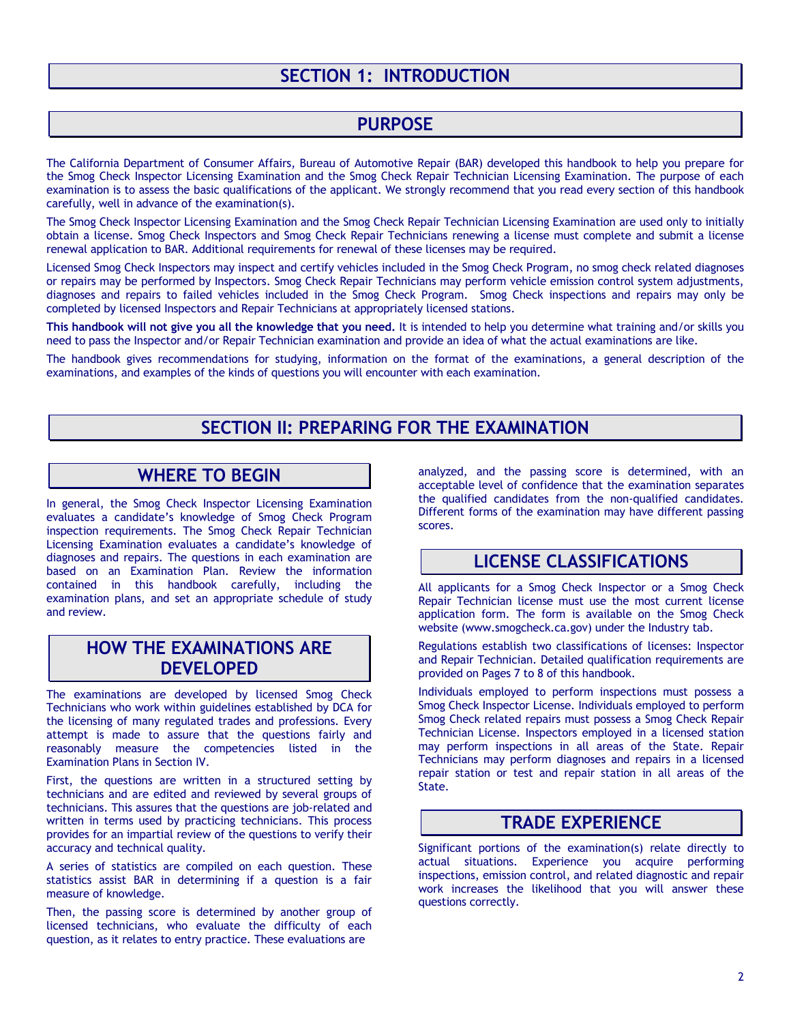# **SECTION 1: INTRODUCTION**

### **PURPOSE**

The California Department of Consumer Affairs, Bureau of Automotive Repair (BAR) developed this handbook to help you prepare for the Smog Check Inspector Licensing Examination and the Smog Check Repair Technician Licensing Examination. The purpose of each examination is to assess the basic qualifications of the applicant. We strongly recommend that you read every section of this handbook carefully, well in advance of the examination(s).

The Smog Check Inspector Licensing Examination and the Smog Check Repair Technician Licensing Examination are used only to initially obtain a license. Smog Check Inspectors and Smog Check Repair Technicians renewing a license must complete and submit a license renewal application to BAR. Additional requirements for renewal of these licenses may be required.

Licensed Smog Check Inspectors may inspect and certify vehicles included in the Smog Check Program, no smog check related diagnoses or repairs may be performed by Inspectors. Smog Check Repair Technicians may perform vehicle emission control system adjustments, diagnoses and repairs to failed vehicles included in the Smog Check Program. Smog Check inspections and repairs may only be completed by licensed Inspectors and Repair Technicians at appropriately licensed stations.

**This handbook will not give you all the knowledge that you need.** It is intended to help you determine what training and/or skills you need to pass the Inspector and/or Repair Technician examination and provide an idea of what the actual examinations are like.

The handbook gives recommendations for studying, information on the format of the examinations, a general description of the examinations, and examples of the kinds of questions you will encounter with each examination.

## **SECTION II: PREPARING FOR THE EXAMINATION**

### **WHERE TO BEGIN**

In general, the Smog Check Inspector Licensing Examination evaluates a candidate's knowledge of Smog Check Program inspection requirements. The Smog Check Repair Technician Licensing Examination evaluates a candidate's knowledge of diagnoses and repairs. The questions in each examination are based on an Examination Plan. Review the information contained in this handbook carefully, including the examination plans, and set an appropriate schedule of study and review.

## **HOW THE EXAMINATIONS ARE DEVELOPED**

The examinations are developed by licensed Smog Check Technicians who work within guidelines established by DCA for the licensing of many regulated trades and professions. Every attempt is made to assure that the questions fairly and reasonably measure the competencies listed in the Examination Plans in Section IV.

First, the questions are written in a structured setting by technicians and are edited and reviewed by several groups of technicians. This assures that the questions are job-related and written in terms used by practicing technicians. This process provides for an impartial review of the questions to verify their accuracy and technical quality.

A series of statistics are compiled on each question. These statistics assist BAR in determining if a question is a fair measure of knowledge.

Then, the passing score is determined by another group of licensed technicians, who evaluate the difficulty of each question, as it relates to entry practice. These evaluations are

analyzed, and the passing score is determined, with an acceptable level of confidence that the examination separates the qualified candidates from the non-qualified candidates. Different forms of the examination may have different passing scores.

### **LICENSE CLASSIFICATIONS**

All applicants for a Smog Check Inspector or a Smog Check Repair Technician license must use the most current license application form. The form is available on the Smog Check website (www.smogcheck.ca.gov) under the Industry tab.

Regulations establish two classifications of licenses: Inspector and Repair Technician. Detailed qualification requirements are provided on Pages 7 to 8 of this handbook.

Individuals employed to perform inspections must possess a Smog Check Inspector License. Individuals employed to perform Smog Check related repairs must possess a Smog Check Repair Technician License. Inspectors employed in a licensed station may perform inspections in all areas of the State. Repair Technicians may perform diagnoses and repairs in a licensed repair station or test and repair station in all areas of the State.

### **TRADE EXPERIENCE**

Significant portions of the examination(s) relate directly to actual situations. Experience you acquire performing inspections, emission control, and related diagnostic and repair work increases the likelihood that you will answer these questions correctly.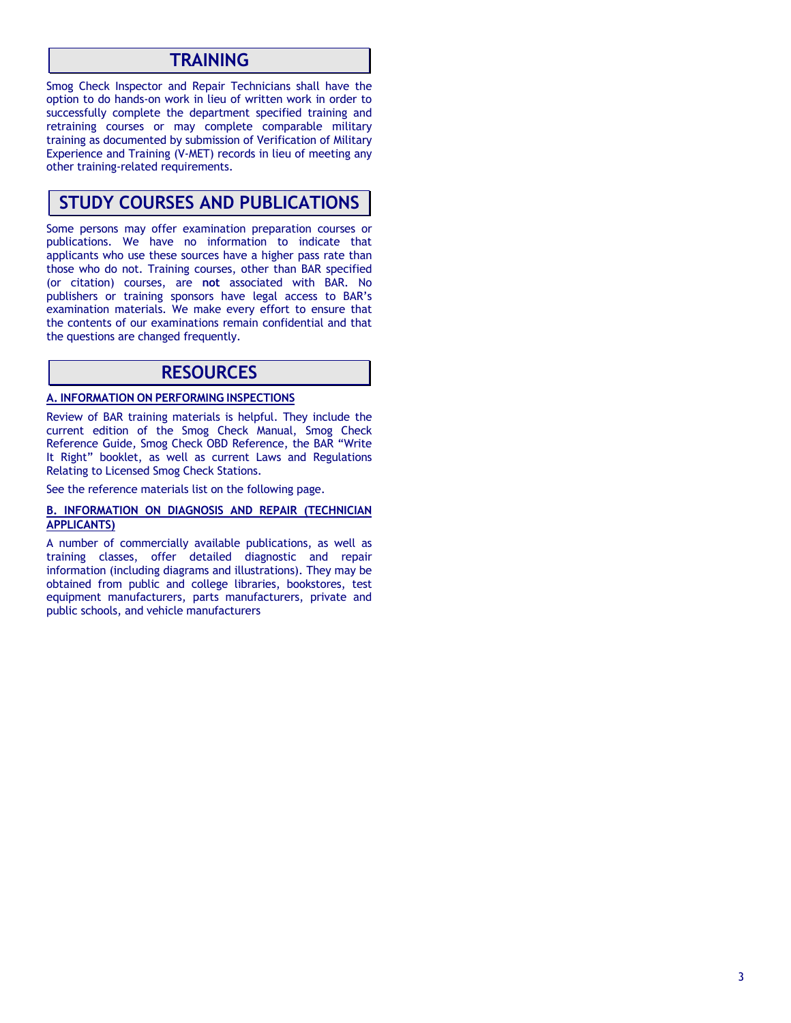### **TRAINING**

Smog Check Inspector and Repair Technicians shall have the option to do hands-on work in lieu of written work in order to successfully complete the department specified training and retraining courses or may complete comparable military training as documented by submission of Verification of Military Experience and Training (V-MET) records in lieu of meeting any other training-related requirements.

### **STUDY COURSES AND PUBLICATIONS**

Some persons may offer examination preparation courses or publications. We have no information to indicate that applicants who use these sources have a higher pass rate than those who do not. Training courses, other than BAR specified (or citation) courses, are **not** associated with BAR. No publishers or training sponsors have legal access to BAR's examination materials. We make every effort to ensure that the contents of our examinations remain confidential and that the questions are changed frequently.

### **RESOURCES**

### **A. INFORMATION ON PERFORMING INSPECTIONS**

Review of BAR training materials is helpful. They include the current edition of the Smog Check Manual, Smog Check Reference Guide*,* Smog Check OBD Reference, the BAR "Write It Right" booklet, as well as current Laws and Regulations Relating to Licensed Smog Check Stations.

See the reference materials list on the following page.

#### **B. INFORMATION ON DIAGNOSIS AND REPAIR (TECHNICIAN APPLICANTS)**

A number of commercially available publications, as well as training classes, offer detailed diagnostic and repair information (including diagrams and illustrations). They may be obtained from public and college libraries, bookstores, test equipment manufacturers, parts manufacturers, private and public schools, and vehicle manufacturers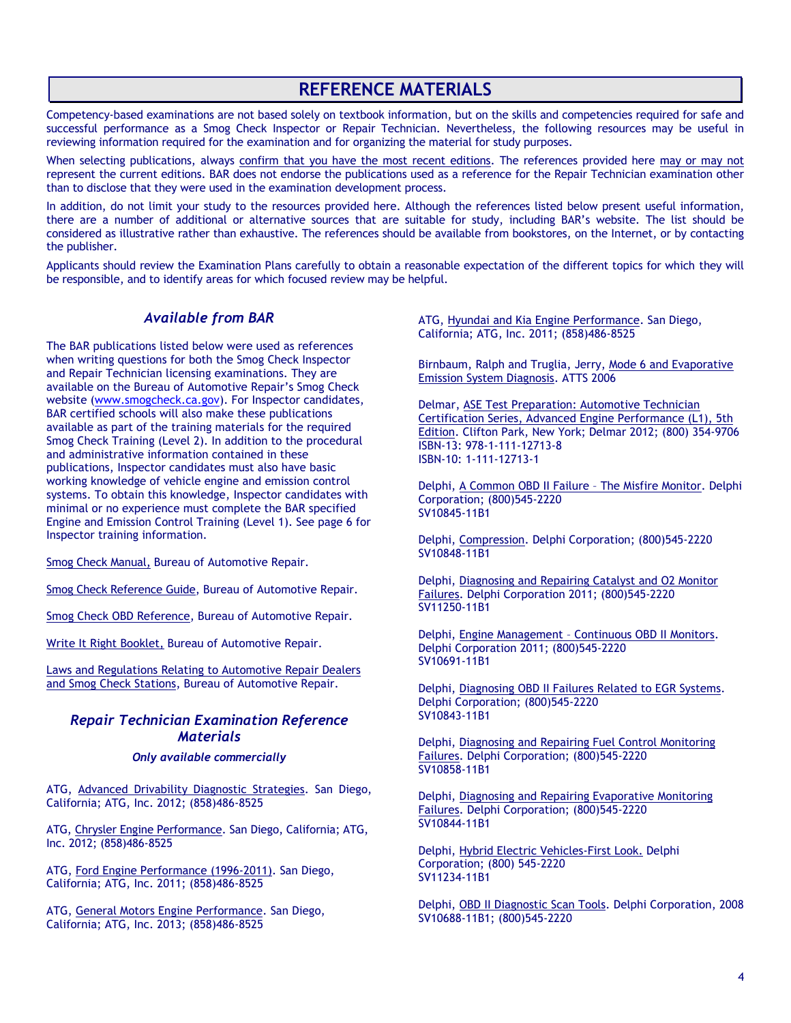# **REFERENCE MATERIALS**

Competency-based examinations are not based solely on textbook information, but on the skills and competencies required for safe and successful performance as a Smog Check Inspector or Repair Technician. Nevertheless, the following resources may be useful in reviewing information required for the examination and for organizing the material for study purposes.

When selecting publications, always confirm that you have the most recent editions. The references provided here may or may not represent the current editions. BAR does not endorse the publications used as a reference for the Repair Technician examination other than to disclose that they were used in the examination development process.

In addition, do not limit your study to the resources provided here. Although the references listed below present useful information, there are a number of additional or alternative sources that are suitable for study, including BAR's website. The list should be considered as illustrative rather than exhaustive. The references should be available from bookstores, on the Internet, or by contacting the publisher.

Applicants should review the Examination Plans carefully to obtain a reasonable expectation of the different topics for which they will be responsible, and to identify areas for which focused review may be helpful.

### *Available from BAR*

The BAR publications listed below were used as references when writing questions for both the Smog Check Inspector and Repair Technician licensing examinations. They are available on the Bureau of Automotive Repair's Smog Check website [\(www.smogcheck.ca.gov\)](http://www.smogcheck.ca.gov/). For Inspector candidates, BAR certified schools will also make these publications available as part of the training materials for the required Smog Check Training (Level 2). In addition to the procedural and administrative information contained in these publications, Inspector candidates must also have basic working knowledge of vehicle engine and emission control systems. To obtain this knowledge, Inspector candidates with minimal or no experience must complete the BAR specified Engine and Emission Control Training (Level 1). See page 6 for Inspector training information.

Smog Check Manual, Bureau of Automotive Repair.

Smog Check Reference Guide, Bureau of Automotive Repair.

Smog Check OBD Reference, Bureau of Automotive Repair.

Write It Right Booklet, Bureau of Automotive Repair.

Laws and Regulations Relating to Automotive Repair Dealers and Smog Check Stations, Bureau of Automotive Repair.

### *Repair Technician Examination Reference Materials*

#### *Only available commercially*

ATG, Advanced Drivability Diagnostic Strategies. San Diego, California; ATG, Inc. 2012; (858)486-8525

ATG, Chrysler Engine Performance. San Diego, California; ATG, Inc. 2012; (858)486-8525

ATG, Ford Engine Performance (1996-2011). San Diego, California; ATG, Inc. 2011; (858)486-8525

ATG, General Motors Engine Performance. San Diego, California; ATG, Inc. 2013; (858)486-8525

ATG, Hyundai and Kia Engine Performance. San Diego, California; ATG, Inc. 2011; (858)486-8525

Birnbaum, Ralph and Truglia, Jerry, Mode 6 and Evaporative Emission System Diagnosis. ATTS 2006

Delmar, ASE Test Preparation: Automotive Technician Certification Series, Advanced Engine Performance (L1), 5th Edition. Clifton Park, New York; Delmar 2012; (800) 354-9706 ISBN-13: 978-1-111-12713-8 ISBN-10: 1-111-12713-1

Delphi, A Common OBD II Failure – The Misfire Monitor. Delphi Corporation; (800)545-2220 SV10845-11B1

Delphi, Compression. Delphi Corporation; (800)545-2220 SV10848-11B1

Delphi, Diagnosing and Repairing Catalyst and O2 Monitor Failures. Delphi Corporation 2011; (800)545-2220 SV11250-11B1

Delphi, Engine Management – Continuous OBD II Monitors. Delphi Corporation 2011; (800)545-2220 SV10691-11B1

Delphi, Diagnosing OBD II Failures Related to EGR Systems. Delphi Corporation; (800)545-2220 SV10843-11B1

Delphi, Diagnosing and Repairing Fuel Control Monitoring Failures. Delphi Corporation; (800)545-2220 SV10858-11B1

Delphi, Diagnosing and Repairing Evaporative Monitoring Failures. Delphi Corporation; (800)545-2220 SV10844-11B1

Delphi, Hybrid Electric Vehicles-First Look. Delphi Corporation; (800) 545-2220 SV11234-11B1

Delphi, OBD II Diagnostic Scan Tools. Delphi Corporation, 2008 SV10688-11B1; (800)545-2220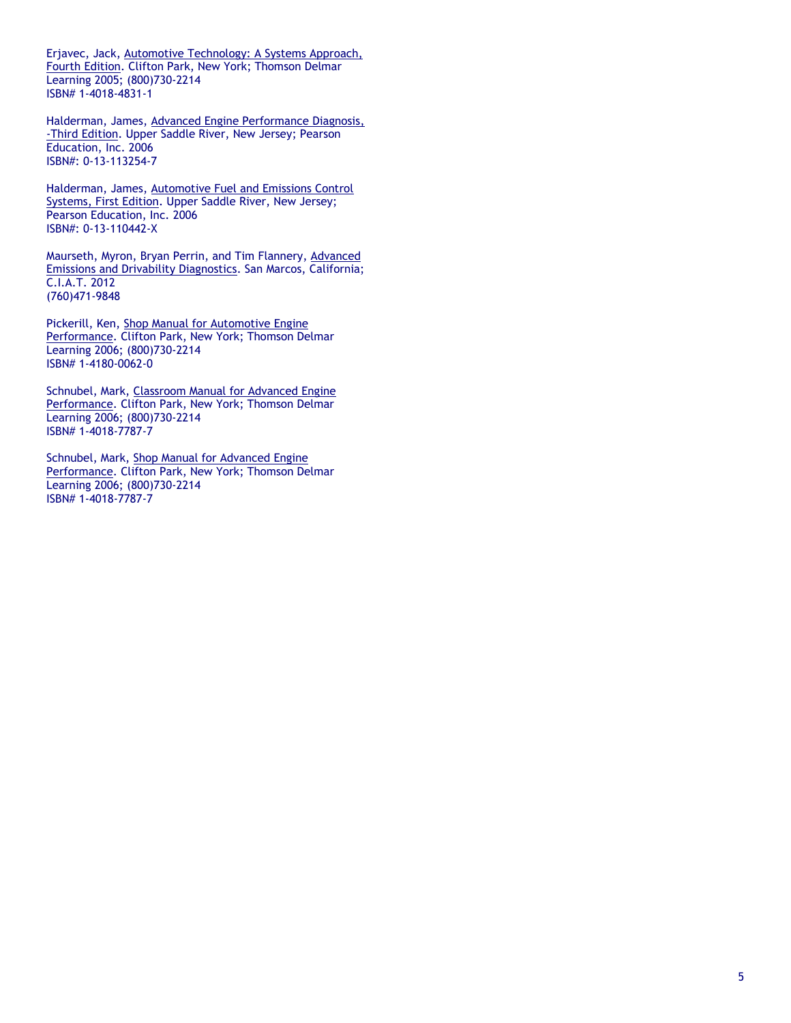Erjavec, Jack, Automotive Technology: A Systems Approach, Fourth Edition. Clifton Park, New York; Thomson Delmar Learning 2005; (800)730-2214 ISBN# 1-4018-4831-1

Halderman, James, Advanced Engine Performance Diagnosis, -Third Edition. Upper Saddle River, New Jersey; Pearson Education, Inc. 2006 ISBN#: 0-13-113254-7

Halderman, James, Automotive Fuel and Emissions Control Systems, First Edition. Upper Saddle River, New Jersey; Pearson Education, Inc. 2006 ISBN#: 0-13-110442-X

Maurseth, Myron, Bryan Perrin, and Tim Flannery, Advanced Emissions and Drivability Diagnostics. San Marcos, California; C.I.A.T. 2012 (760)471-9848

Pickerill, Ken, Shop Manual for Automotive Engine Performance. Clifton Park, New York; Thomson Delmar Learning 2006; (800)730-2214 ISBN# 1-4180-0062-0

Schnubel, Mark, Classroom Manual for Advanced Engine Performance. Clifton Park, New York; Thomson Delmar Learning 2006; (800)730-2214 ISBN# 1-4018-7787-7

Schnubel, Mark, Shop Manual for Advanced Engine Performance. Clifton Park, New York; Thomson Delmar Learning 2006; (800)730-2214 ISBN# 1-4018-7787-7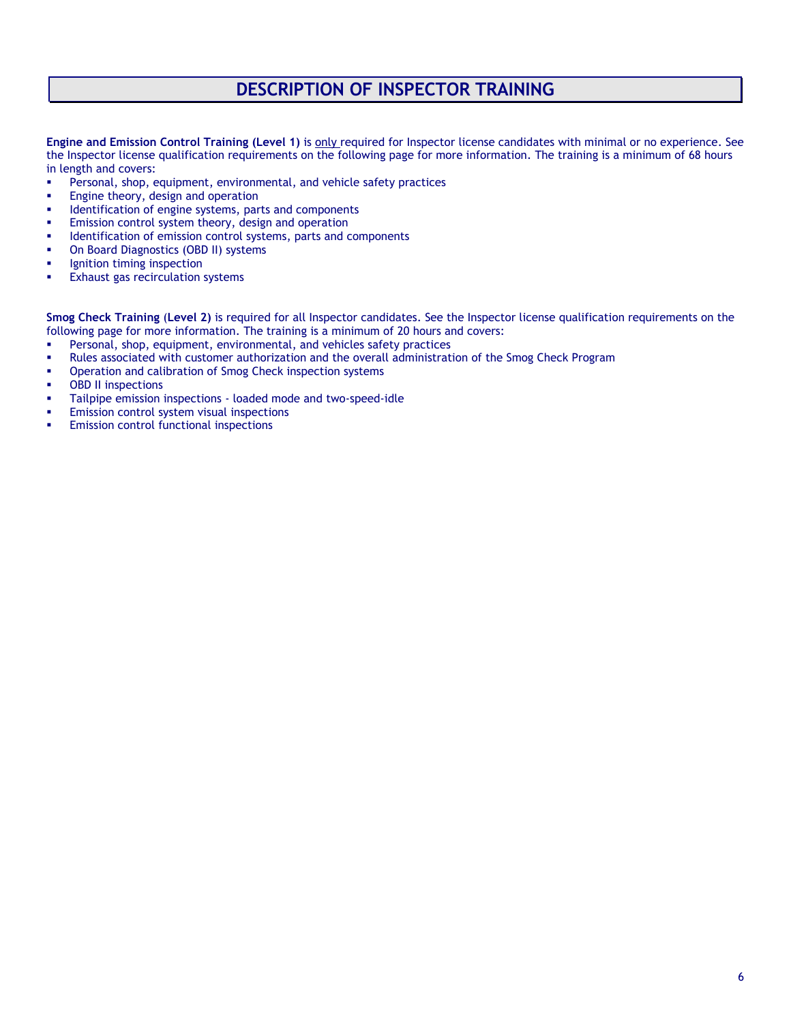# **DESCRIPTION OF INSPECTOR TRAINING**

**Engine and Emission Control Training (Level 1)** is only required for Inspector license candidates with minimal or no experience. See the Inspector license qualification requirements on the following page for more information. The training is a minimum of 68 hours in length and covers:

- Personal, shop, equipment, environmental, and vehicle safety practices
- **Engine theory, design and operation**
- **■** Identification of engine systems, parts and components
- Emission control system theory, design and operation
- Identification of emission control systems, parts and components
- On Board Diagnostics (OBD II) systems
- Ignition timing inspection
- **Exhaust gas recirculation systems**

**Smog Check Training** (**Level 2)** is required for all Inspector candidates. See the Inspector license qualification requirements on the following page for more information. The training is a minimum of 20 hours and covers:

- Personal, shop, equipment, environmental, and vehicles safety practices
- Rules associated with customer authorization and the overall administration of the Smog Check Program
- Operation and calibration of Smog Check inspection systems
- **OBD II inspections**
- Tailpipe emission inspections loaded mode and two-speed-idle
- Emission control system visual inspections
- **Emission control functional inspections**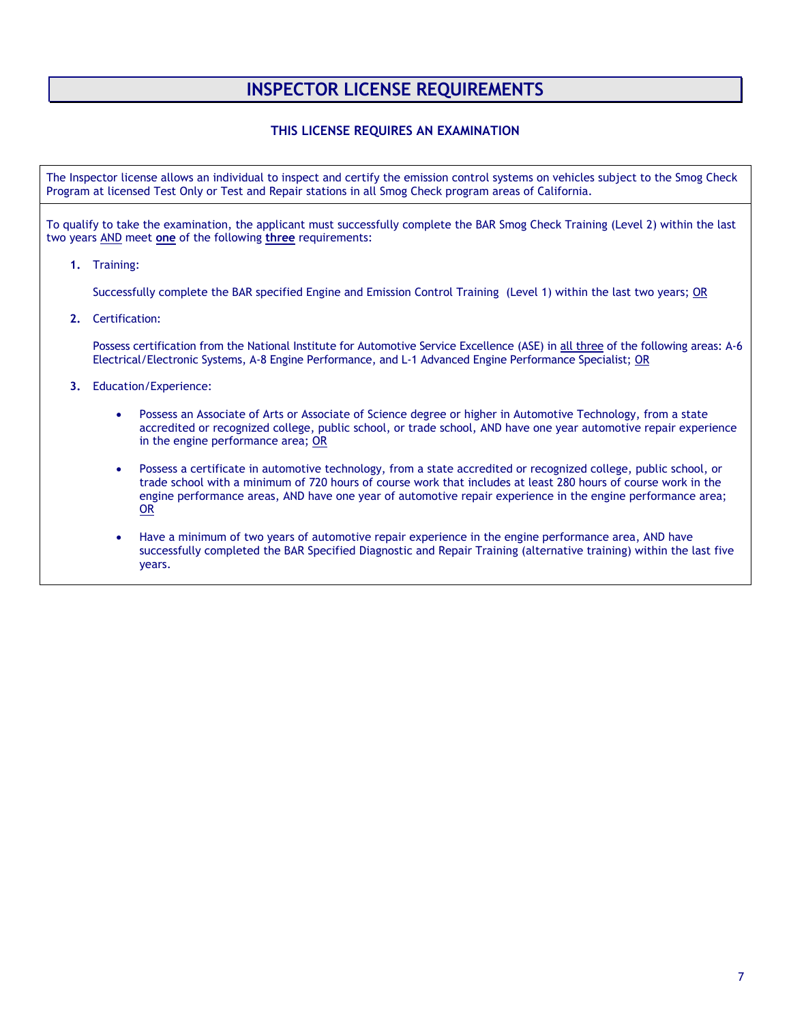# **INSPECTOR LICENSE REQUIREMENTS**

### **THIS LICENSE REQUIRES AN EXAMINATION**

The Inspector license allows an individual to inspect and certify the emission control systems on vehicles subject to the Smog Check Program at licensed Test Only or Test and Repair stations in all Smog Check program areas of California.

To qualify to take the examination, the applicant must successfully complete the BAR Smog Check Training (Level 2) within the last two years AND meet **one** of the following **three** requirements:

**1.** Training:

Successfully complete the BAR specified Engine and Emission Control Training (Level 1) within the last two years; OR

**2.** Certification:

Possess certification from the National Institute for Automotive Service Excellence (ASE) in all three of the following areas: A-6 Electrical/Electronic Systems, A-8 Engine Performance, and L-1 Advanced Engine Performance Specialist; OR

- **3.** Education/Experience:
	- Possess an Associate of Arts or Associate of Science degree or higher in Automotive Technology, from a state accredited or recognized college, public school, or trade school, AND have one year automotive repair experience in the engine performance area; OR
	- Possess a certificate in automotive technology, from a state accredited or recognized college, public school, or trade school with a minimum of 720 hours of course work that includes at least 280 hours of course work in the engine performance areas, AND have one year of automotive repair experience in the engine performance area; OR
	- Have a minimum of two years of automotive repair experience in the engine performance area, AND have successfully completed the BAR Specified Diagnostic and Repair Training (alternative training) within the last five years.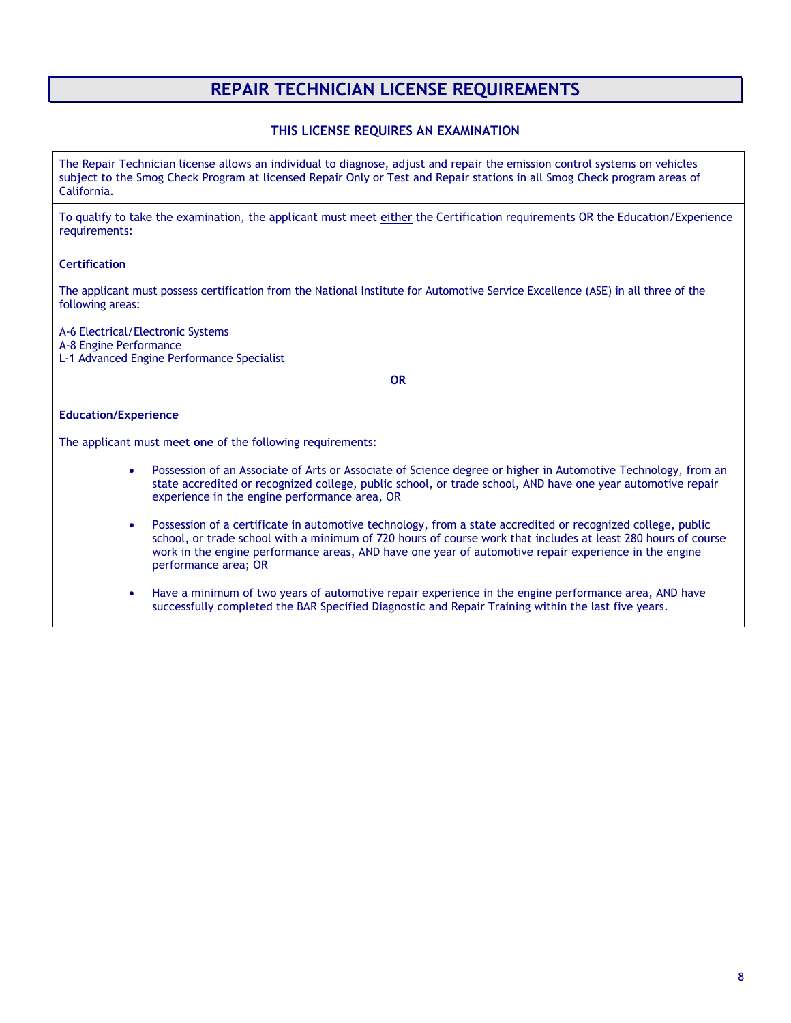# **REPAIR TECHNICIAN LICENSE REQUIREMENTS**

### **THIS LICENSE REQUIRES AN EXAMINATION**

The Repair Technician license allows an individual to diagnose, adjust and repair the emission control systems on vehicles subject to the Smog Check Program at licensed Repair Only or Test and Repair stations in all Smog Check program areas of California.

To qualify to take the examination, the applicant must meet either the Certification requirements OR the Education/Experience requirements:

### **Certification**

The applicant must possess certification from the National Institute for Automotive Service Excellence (ASE) in all three of the following areas:

A-6 Electrical/Electronic Systems

A-8 Engine Performance

L-1 Advanced Engine Performance Specialist

**OR**

### **Education/Experience**

The applicant must meet **one** of the following requirements:

- Possession of an Associate of Arts or Associate of Science degree or higher in Automotive Technology, from an state accredited or recognized college, public school, or trade school, AND have one year automotive repair experience in the engine performance area, OR
- Possession of a certificate in automotive technology, from a state accredited or recognized college, public school, or trade school with a minimum of 720 hours of course work that includes at least 280 hours of course work in the engine performance areas, AND have one year of automotive repair experience in the engine performance area; OR
- Have a minimum of two years of automotive repair experience in the engine performance area, AND have successfully completed the BAR Specified Diagnostic and Repair Training within the last five years.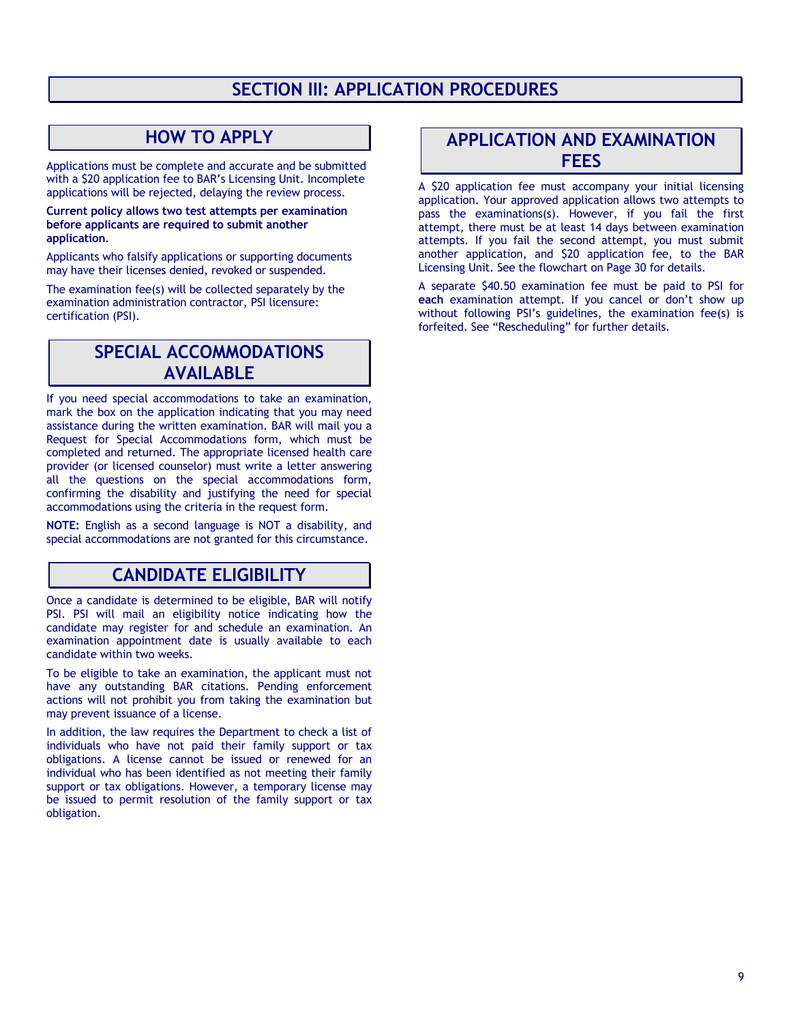# **SECTION III: APPLICATION PROCEDURES**

# **HOW TO APPLY**

Applications must be complete and accurate and be submitted with a \$20 application fee to BAR's Licensing Unit. Incomplete applications will be rejected, delaying the review process.

**Current policy allows two test attempts per examination before applicants are required to submit another application***.* 

Applicants who falsify applications or supporting documents may have their licenses denied, revoked or suspended.

The examination fee(s) will be collected separately by the examination administration contractor, PSI licensure: certification (PSI).

## **SPECIAL ACCOMMODATIONS AVAILABLE**

If you need special accommodations to take an examination, mark the box on the application indicating that you may need assistance during the written examination. BAR will mail you a Request for Special Accommodations form, which must be completed and returned. The appropriate licensed health care provider (or licensed counselor) must write a letter answering all the questions on the special accommodations form, confirming the disability and justifying the need for special accommodations using the criteria in the request form.

**NOTE:** English as a second language is NOT a disability, and special accommodations are not granted for this circumstance.

# **CANDIDATE ELIGIBILITY**

Once a candidate is determined to be eligible, BAR will notify PSI. PSI will mail an eligibility notice indicating how the candidate may register for and schedule an examination. An examination appointment date is usually available to each candidate within two weeks.

To be eligible to take an examination, the applicant must not have any outstanding BAR citations. Pending enforcement actions will not prohibit you from taking the examination but may prevent issuance of a license.

In addition, the law requires the Department to check a list of individuals who have not paid their family support or tax obligations. A license cannot be issued or renewed for an individual who has been identified as not meeting their family support or tax obligations. However, a temporary license may be issued to permit resolution of the family support or tax obligation.

## **APPLICATION AND EXAMINATION FEES**

A \$20 application fee must accompany your initial licensing application. Your approved application allows two attempts to pass the examinations(s). However, if you fail the first attempt, there must be at least 14 days between examination attempts. If you fail the second attempt, you must submit another application, and \$20 application fee, to the BAR Licensing Unit. See the flowchart on Page 30 for details.

A separate \$40.50 examination fee must be paid to PSI for **each** examination attempt. If you cancel or don't show up without following PSI's guidelines, the examination fee(s) is forfeited. See "Rescheduling" for further details.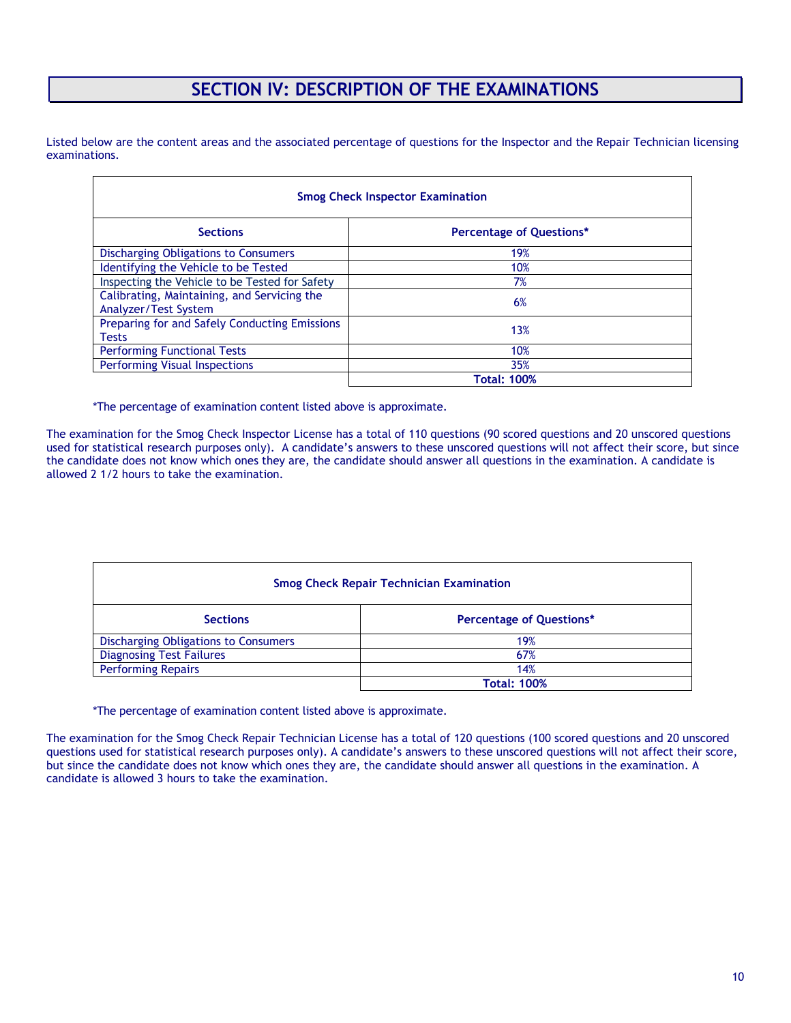# **SECTION IV: DESCRIPTION OF THE EXAMINATIONS**

Listed below are the content areas and the associated percentage of questions for the Inspector and the Repair Technician licensing examinations.

| <b>Smog Check Inspector Examination</b>                             |                                 |  |
|---------------------------------------------------------------------|---------------------------------|--|
| <b>Sections</b>                                                     | <b>Percentage of Questions*</b> |  |
| Discharging Obligations to Consumers                                | 19%                             |  |
| Identifying the Vehicle to be Tested                                | 10%                             |  |
| Inspecting the Vehicle to be Tested for Safety                      | 7%                              |  |
| Calibrating, Maintaining, and Servicing the<br>Analyzer/Test System | 6%                              |  |
| Preparing for and Safely Conducting Emissions<br><b>Tests</b>       | 13%                             |  |
| <b>Performing Functional Tests</b>                                  | 10%                             |  |
| <b>Performing Visual Inspections</b>                                | 35%                             |  |
|                                                                     | <b>Total: 100%</b>              |  |

\*The percentage of examination content listed above is approximate.

The examination for the Smog Check Inspector License has a total of 110 questions (90 scored questions and 20 unscored questions used for statistical research purposes only). A candidate's answers to these unscored questions will not affect their score, but since the candidate does not know which ones they are, the candidate should answer all questions in the examination. A candidate is allowed 2 1/2 hours to take the examination.

| <b>Smog Check Repair Technician Examination</b> |                                 |  |
|-------------------------------------------------|---------------------------------|--|
| <b>Sections</b>                                 | <b>Percentage of Questions*</b> |  |
| Discharging Obligations to Consumers            | 19%                             |  |
| <b>Diagnosing Test Failures</b>                 | 67%                             |  |
| <b>Performing Repairs</b>                       | 14%                             |  |
|                                                 | <b>Total: 100%</b>              |  |

\*The percentage of examination content listed above is approximate.

The examination for the Smog Check Repair Technician License has a total of 120 questions (100 scored questions and 20 unscored questions used for statistical research purposes only). A candidate's answers to these unscored questions will not affect their score, but since the candidate does not know which ones they are, the candidate should answer all questions in the examination. A candidate is allowed 3 hours to take the examination.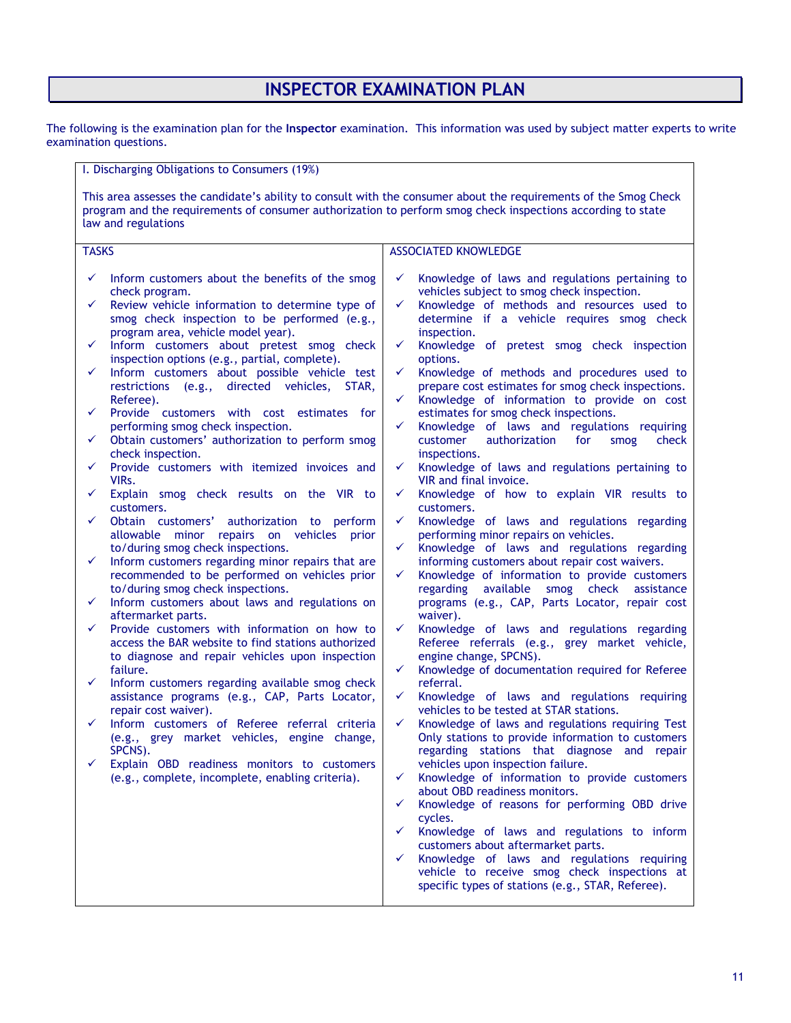# **INSPECTOR EXAMINATION PLAN**

The following is the examination plan for the **Inspector** examination. This information was used by subject matter experts to write examination questions.

| I. Discharging Obligations to Consumers (19%)                                                                                                                                                                                                                                                                                                                                                                                                                                                                                                                                                                                                                                                                                                                                                                                                                                                                                                                                                                                                                                                                                                                                                                                                                                                                                                                                                                                                                                                                                                                                                                                                                       |                                                                                                                                                                                                                                                                                                                                                                                                                                                                                                                                                                                                                                                                                                                                                                                                                                                                                                                                                                                                                                                                                                                                                                                                                                                                                                                                                                                                                                                                                                                                                                                                                                                                                                                                                                                                                                                                                                                                                                                                                                                                                                                                                                                                     |
|---------------------------------------------------------------------------------------------------------------------------------------------------------------------------------------------------------------------------------------------------------------------------------------------------------------------------------------------------------------------------------------------------------------------------------------------------------------------------------------------------------------------------------------------------------------------------------------------------------------------------------------------------------------------------------------------------------------------------------------------------------------------------------------------------------------------------------------------------------------------------------------------------------------------------------------------------------------------------------------------------------------------------------------------------------------------------------------------------------------------------------------------------------------------------------------------------------------------------------------------------------------------------------------------------------------------------------------------------------------------------------------------------------------------------------------------------------------------------------------------------------------------------------------------------------------------------------------------------------------------------------------------------------------------|-----------------------------------------------------------------------------------------------------------------------------------------------------------------------------------------------------------------------------------------------------------------------------------------------------------------------------------------------------------------------------------------------------------------------------------------------------------------------------------------------------------------------------------------------------------------------------------------------------------------------------------------------------------------------------------------------------------------------------------------------------------------------------------------------------------------------------------------------------------------------------------------------------------------------------------------------------------------------------------------------------------------------------------------------------------------------------------------------------------------------------------------------------------------------------------------------------------------------------------------------------------------------------------------------------------------------------------------------------------------------------------------------------------------------------------------------------------------------------------------------------------------------------------------------------------------------------------------------------------------------------------------------------------------------------------------------------------------------------------------------------------------------------------------------------------------------------------------------------------------------------------------------------------------------------------------------------------------------------------------------------------------------------------------------------------------------------------------------------------------------------------------------------------------------------------------------------|
| program and the requirements of consumer authorization to perform smog check inspections according to state<br>law and regulations                                                                                                                                                                                                                                                                                                                                                                                                                                                                                                                                                                                                                                                                                                                                                                                                                                                                                                                                                                                                                                                                                                                                                                                                                                                                                                                                                                                                                                                                                                                                  | This area assesses the candidate's ability to consult with the consumer about the requirements of the Smog Check                                                                                                                                                                                                                                                                                                                                                                                                                                                                                                                                                                                                                                                                                                                                                                                                                                                                                                                                                                                                                                                                                                                                                                                                                                                                                                                                                                                                                                                                                                                                                                                                                                                                                                                                                                                                                                                                                                                                                                                                                                                                                    |
| <b>TASKS</b>                                                                                                                                                                                                                                                                                                                                                                                                                                                                                                                                                                                                                                                                                                                                                                                                                                                                                                                                                                                                                                                                                                                                                                                                                                                                                                                                                                                                                                                                                                                                                                                                                                                        | <b>ASSOCIATED KNOWLEDGE</b>                                                                                                                                                                                                                                                                                                                                                                                                                                                                                                                                                                                                                                                                                                                                                                                                                                                                                                                                                                                                                                                                                                                                                                                                                                                                                                                                                                                                                                                                                                                                                                                                                                                                                                                                                                                                                                                                                                                                                                                                                                                                                                                                                                         |
| Inform customers about the benefits of the smog<br>✓<br>check program.<br>Review vehicle information to determine type of<br>✓<br>smog check inspection to be performed (e.g.,<br>program area, vehicle model year).<br>Inform customers about pretest smog check<br>✓<br>inspection options (e.g., partial, complete).<br>Inform customers about possible vehicle test<br>✓<br>restrictions (e.g., directed vehicles,<br>STAR,<br>Referee).<br>Provide customers with cost estimates for<br>✓<br>performing smog check inspection.<br>Obtain customers' authorization to perform smog<br>✓<br>check inspection.<br>Provide customers with itemized invoices and<br>✓<br>VIR <sub>S</sub> .<br>Explain smog check results on the VIR to<br>✓<br>customers.<br>✓<br>Obtain customers' authorization to perform<br>allowable minor repairs on vehicles<br>prior<br>to/during smog check inspections.<br>Inform customers regarding minor repairs that are<br>✓<br>recommended to be performed on vehicles prior<br>to/during smog check inspections.<br>Inform customers about laws and regulations on<br>✓<br>aftermarket parts.<br>Provide customers with information on how to<br>✓<br>access the BAR website to find stations authorized<br>to diagnose and repair vehicles upon inspection<br>failure.<br>✓<br>Inform customers regarding available smog check<br>assistance programs (e.g., CAP, Parts Locator,<br>repair cost waiver).<br>✓<br>Inform customers of Referee referral criteria<br>(e.g., grey market vehicles, engine change,<br>SPCNS).<br>Explain OBD readiness monitors to customers<br>✓<br>(e.g., complete, incomplete, enabling criteria). | Knowledge of laws and regulations pertaining to<br>✓<br>vehicles subject to smog check inspection.<br>$\checkmark$<br>Knowledge of methods and resources used to<br>determine if a vehicle requires smog check<br>inspection.<br>Knowledge of pretest smog check inspection<br>✓<br>options.<br>Knowledge of methods and procedures used to<br>$\checkmark$<br>prepare cost estimates for smog check inspections.<br>Knowledge of information to provide on cost<br>$\checkmark$<br>estimates for smog check inspections.<br>Knowledge of laws and regulations requiring<br>$\checkmark$<br>customer<br>authorization<br>for<br>smog<br>check<br>inspections.<br>Knowledge of laws and regulations pertaining to<br>✓<br>VIR and final invoice.<br>Knowledge of how to explain VIR results to<br>✓<br>customers.<br>Knowledge of laws and regulations regarding<br>✓<br>performing minor repairs on vehicles.<br>Knowledge of laws and regulations regarding<br>$\checkmark$<br>informing customers about repair cost waivers.<br>Knowledge of information to provide customers<br>✓<br>regarding available<br>smog check<br>assistance<br>programs (e.g., CAP, Parts Locator, repair cost<br>waiver).<br>$\checkmark$<br>Knowledge of laws and regulations regarding<br>Referee referrals (e.g., grey market vehicle,<br>engine change, SPCNS).<br>$\checkmark$<br>Knowledge of documentation required for Referee<br>referral.<br>Knowledge of laws and regulations requiring<br>✓<br>vehicles to be tested at STAR stations.<br>$\checkmark$<br>Knowledge of laws and regulations requiring Test<br>Only stations to provide information to customers<br>regarding stations that diagnose and repair<br>vehicles upon inspection failure.<br>Knowledge of information to provide customers<br>$\checkmark$<br>about OBD readiness monitors.<br>Knowledge of reasons for performing OBD drive<br>$\checkmark$<br>cycles.<br>Knowledge of laws and regulations to inform<br>$\checkmark$<br>customers about aftermarket parts.<br>Knowledge of laws and regulations requiring<br>$\checkmark$<br>vehicle to receive smog check inspections at<br>specific types of stations (e.g., STAR, Referee). |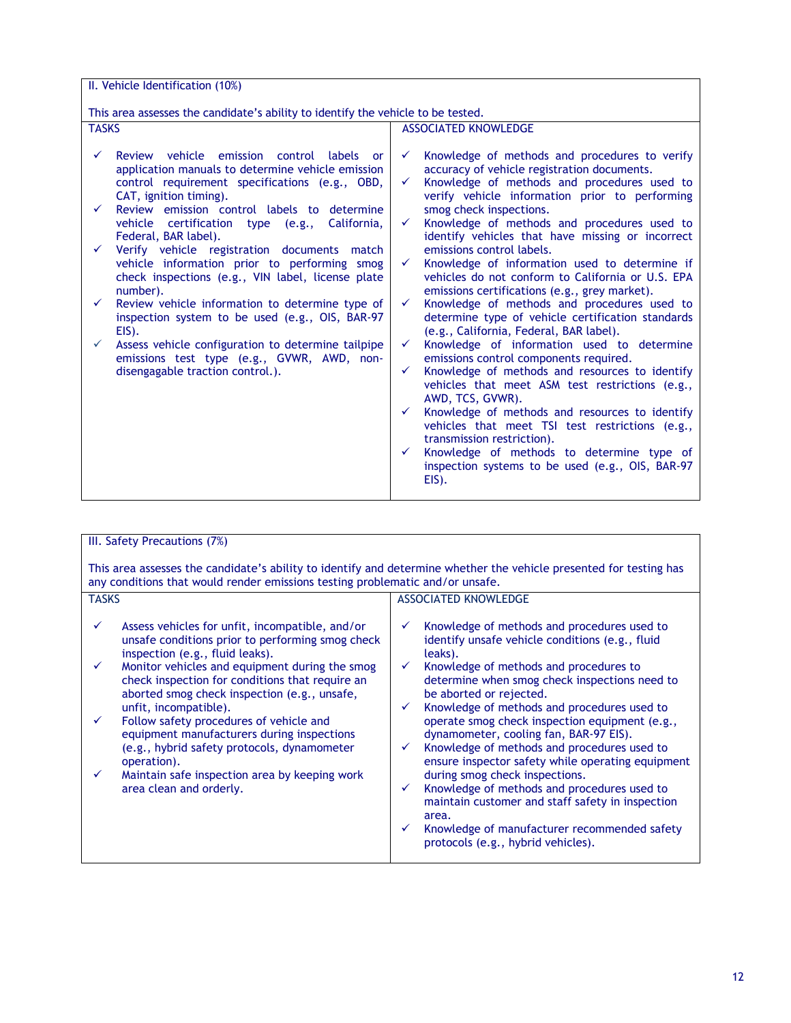| II. Vehicle Identification (10%)                                                                                                                                           |                                                                                                                                                                                                                                    |  |  |
|----------------------------------------------------------------------------------------------------------------------------------------------------------------------------|------------------------------------------------------------------------------------------------------------------------------------------------------------------------------------------------------------------------------------|--|--|
|                                                                                                                                                                            |                                                                                                                                                                                                                                    |  |  |
| This area assesses the candidate's ability to identify the vehicle to be tested.                                                                                           |                                                                                                                                                                                                                                    |  |  |
| <b>TASKS</b>                                                                                                                                                               | <b>ASSOCIATED KNOWLEDGE</b>                                                                                                                                                                                                        |  |  |
| Review vehicle emission control labels or<br>application manuals to determine vehicle emission<br>control requirement specifications (e.g., OBD,<br>CAT, ignition timing). | Knowledge of methods and procedures to verify<br>$\checkmark$<br>accuracy of vehicle registration documents.<br>Knowledge of methods and procedures used to<br>$\checkmark$<br>verify vehicle information prior to performing      |  |  |
| Review emission control labels to determine<br>$\checkmark$<br>vehicle certification type (e.g.,<br>California,<br>Federal, BAR label).                                    | smog check inspections.<br>Knowledge of methods and procedures used to<br>$\checkmark$<br>identify vehicles that have missing or incorrect                                                                                         |  |  |
| Verify vehicle registration documents match<br>vehicle information prior to performing smog<br>check inspections (e.g., VIN label, license plate<br>number).               | emissions control labels.<br>Knowledge of information used to determine if<br>$\checkmark$<br>vehicles do not conform to California or U.S. EPA<br>emissions certifications (e.g., grey market).                                   |  |  |
| Review vehicle information to determine type of<br>$\checkmark$<br>inspection system to be used (e.g., OIS, BAR-97<br>EIS).                                                | Knowledge of methods and procedures used to<br>$\checkmark$<br>determine type of vehicle certification standards<br>(e.g., California, Federal, BAR label).                                                                        |  |  |
| Assess vehicle configuration to determine tailpipe<br>emissions test type (e.g., GVWR, AWD, non-<br>disengagable traction control.).                                       | Knowledge of information used to determine<br>✓<br>emissions control components required.<br>Knowledge of methods and resources to identify<br>$\checkmark$<br>vehicles that meet ASM test restrictions (e.g.,<br>AWD, TCS, GVWR). |  |  |
|                                                                                                                                                                            | Knowledge of methods and resources to identify<br>$\checkmark$<br>vehicles that meet TSI test restrictions (e.g.,<br>transmission restriction).<br>Knowledge of methods to determine type of<br>$\checkmark$                       |  |  |
|                                                                                                                                                                            | inspection systems to be used (e.g., OIS, BAR-97<br>EIS).                                                                                                                                                                          |  |  |

| III. Safety Precautions (7%)                                                                                                                                                                                                                                                                                                                                                                                                                                                                                                                                                                            |                                                                                                                                                                                                                                                                                                                                                                                                                                                                                                                                                                                                                                                                                                                                                                                                    |  |  |
|---------------------------------------------------------------------------------------------------------------------------------------------------------------------------------------------------------------------------------------------------------------------------------------------------------------------------------------------------------------------------------------------------------------------------------------------------------------------------------------------------------------------------------------------------------------------------------------------------------|----------------------------------------------------------------------------------------------------------------------------------------------------------------------------------------------------------------------------------------------------------------------------------------------------------------------------------------------------------------------------------------------------------------------------------------------------------------------------------------------------------------------------------------------------------------------------------------------------------------------------------------------------------------------------------------------------------------------------------------------------------------------------------------------------|--|--|
| This area assesses the candidate's ability to identify and determine whether the vehicle presented for testing has<br>any conditions that would render emissions testing problematic and/or unsafe.                                                                                                                                                                                                                                                                                                                                                                                                     |                                                                                                                                                                                                                                                                                                                                                                                                                                                                                                                                                                                                                                                                                                                                                                                                    |  |  |
| <b>TASKS</b>                                                                                                                                                                                                                                                                                                                                                                                                                                                                                                                                                                                            | <b>ASSOCIATED KNOWLEDGE</b>                                                                                                                                                                                                                                                                                                                                                                                                                                                                                                                                                                                                                                                                                                                                                                        |  |  |
| Assess vehicles for unfit, incompatible, and/or<br>$\checkmark$<br>unsafe conditions prior to performing smog check<br>inspection (e.g., fluid leaks).<br>Monitor vehicles and equipment during the smog<br>$\checkmark$<br>check inspection for conditions that require an<br>aborted smog check inspection (e.g., unsafe,<br>unfit, incompatible).<br>Follow safety procedures of vehicle and<br>$\checkmark$<br>equipment manufacturers during inspections<br>(e.g., hybrid safety protocols, dynamometer<br>operation).<br>Maintain safe inspection area by keeping work<br>area clean and orderly. | Knowledge of methods and procedures used to<br>$\checkmark$<br>identify unsafe vehicle conditions (e.g., fluid<br>leaks).<br>Knowledge of methods and procedures to<br>determine when smog check inspections need to<br>be aborted or rejected.<br>Knowledge of methods and procedures used to<br>$\checkmark$<br>operate smog check inspection equipment (e.g.,<br>dynamometer, cooling fan, BAR-97 EIS).<br>Knowledge of methods and procedures used to<br>$\checkmark$<br>ensure inspector safety while operating equipment<br>during smog check inspections.<br>Knowledge of methods and procedures used to<br>$\checkmark$<br>maintain customer and staff safety in inspection<br>area.<br>Knowledge of manufacturer recommended safety<br>$\checkmark$<br>protocols (e.g., hybrid vehicles). |  |  |
|                                                                                                                                                                                                                                                                                                                                                                                                                                                                                                                                                                                                         |                                                                                                                                                                                                                                                                                                                                                                                                                                                                                                                                                                                                                                                                                                                                                                                                    |  |  |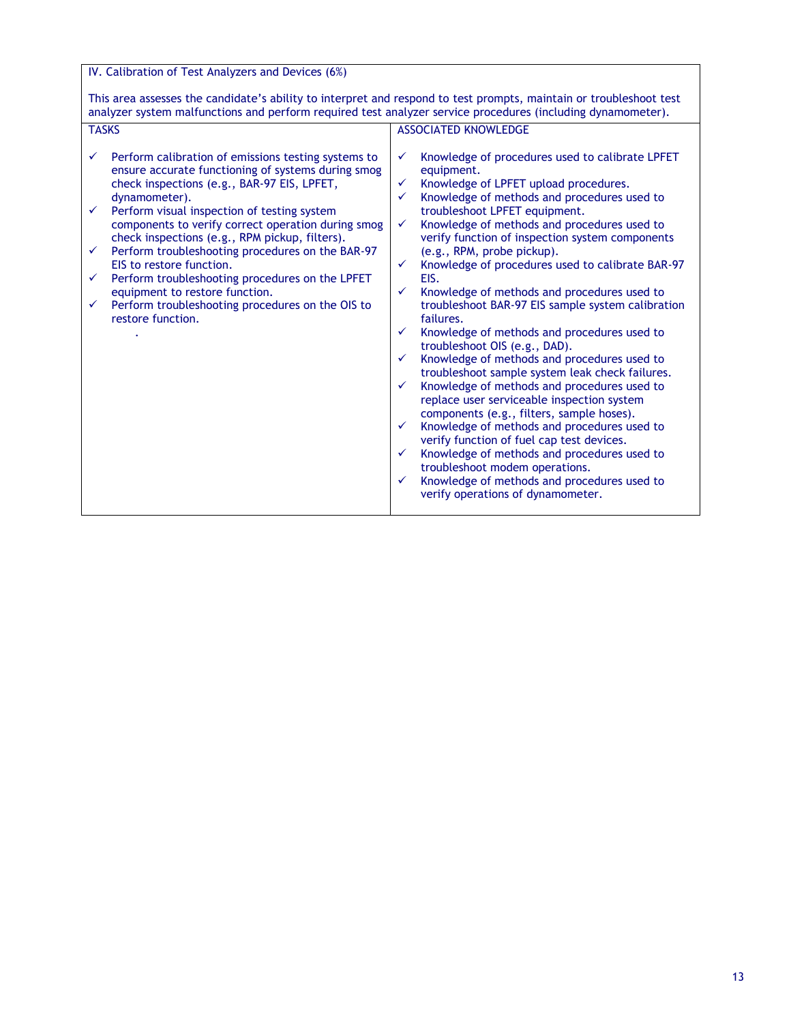IV. Calibration of Test Analyzers and Devices (6%)

This area assesses the candidate's ability to interpret and respond to test prompts, maintain or troubleshoot test analyzer system malfunctions and perform required test analyzer service procedures (including dynamometer).

| <b>TASKS</b>                                                                                                                                                                                                                                                                                                                                                                                                                                                                                                                                                                        | <b>ASSOCIATED KNOWLEDGE</b>                                                                                                                                                                                                                                                                                                                                                                                                                                                                                                                                                                                                                                                                                                                                                                                                                                                                                                                                                                                                                                                                                                                                                                                                                                                |
|-------------------------------------------------------------------------------------------------------------------------------------------------------------------------------------------------------------------------------------------------------------------------------------------------------------------------------------------------------------------------------------------------------------------------------------------------------------------------------------------------------------------------------------------------------------------------------------|----------------------------------------------------------------------------------------------------------------------------------------------------------------------------------------------------------------------------------------------------------------------------------------------------------------------------------------------------------------------------------------------------------------------------------------------------------------------------------------------------------------------------------------------------------------------------------------------------------------------------------------------------------------------------------------------------------------------------------------------------------------------------------------------------------------------------------------------------------------------------------------------------------------------------------------------------------------------------------------------------------------------------------------------------------------------------------------------------------------------------------------------------------------------------------------------------------------------------------------------------------------------------|
| Perform calibration of emissions testing systems to<br>ensure accurate functioning of systems during smog<br>check inspections (e.g., BAR-97 EIS, LPFET,<br>dynamometer).<br>Perform visual inspection of testing system<br>components to verify correct operation during smog<br>check inspections (e.g., RPM pickup, filters).<br>Perform troubleshooting procedures on the BAR-97<br>EIS to restore function.<br>Perform troubleshooting procedures on the LPFET<br>✓<br>equipment to restore function.<br>Perform troubleshooting procedures on the OIS to<br>restore function. | Knowledge of procedures used to calibrate LPFET<br>$\checkmark$<br>equipment.<br>Knowledge of LPFET upload procedures.<br>$\checkmark$<br>Knowledge of methods and procedures used to<br>✓<br>troubleshoot LPFET equipment.<br>Knowledge of methods and procedures used to<br>✓<br>verify function of inspection system components<br>(e.g., RPM, probe pickup).<br>Knowledge of procedures used to calibrate BAR-97<br>$\checkmark$<br>EIS.<br>Knowledge of methods and procedures used to<br>$\checkmark$<br>troubleshoot BAR-97 EIS sample system calibration<br>failures.<br>Knowledge of methods and procedures used to<br>$\checkmark$<br>troubleshoot OIS (e.g., DAD).<br>Knowledge of methods and procedures used to<br>$\checkmark$<br>troubleshoot sample system leak check failures.<br>Knowledge of methods and procedures used to<br>$\checkmark$<br>replace user serviceable inspection system<br>components (e.g., filters, sample hoses).<br>Knowledge of methods and procedures used to<br>$\checkmark$<br>verify function of fuel cap test devices.<br>Knowledge of methods and procedures used to<br>$\checkmark$<br>troubleshoot modem operations.<br>Knowledge of methods and procedures used to<br>$\checkmark$<br>verify operations of dynamometer. |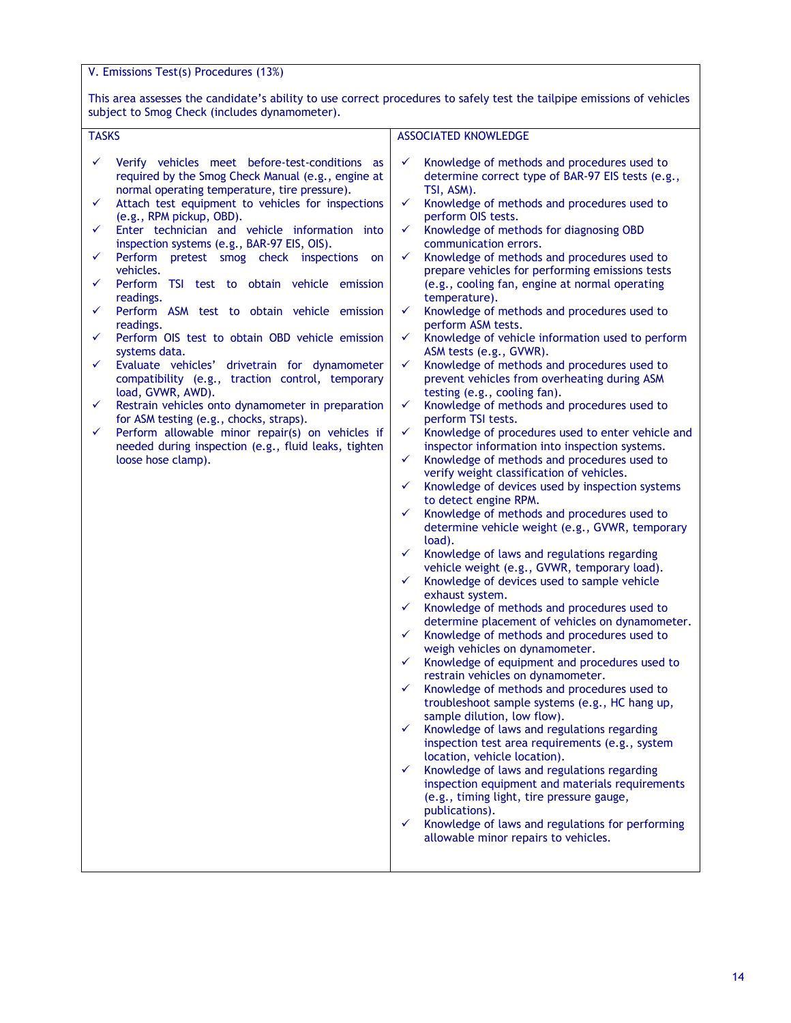V. Emissions Test(s) Procedures (13%)

This area assesses the candidate's ability to use correct procedures to safely test the tailpipe emissions of vehicles subject to Smog Check (includes dynamometer).

| <b>TASKS</b>                                                                                                                                                                                                                                                                                                                                                                                                                                                                                                                                                                                                                                                                                                                                                                                                                                                                                                                                                                                                          | <b>ASSOCIATED KNOWLEDGE</b>                                                                                                                                                                                                                                                                                                                                                                                                                                                                                                                                                                                                                                                                                                                                                                                                                                                                                                                                                                                                                                                                                                                                                                                                                                                                                                                                                                                                                                                                                                                                                                                                                                                                                                                                                                                                                                                                                                                                                                                                                                                                                                                                                                                                                                                                                                                                                     |
|-----------------------------------------------------------------------------------------------------------------------------------------------------------------------------------------------------------------------------------------------------------------------------------------------------------------------------------------------------------------------------------------------------------------------------------------------------------------------------------------------------------------------------------------------------------------------------------------------------------------------------------------------------------------------------------------------------------------------------------------------------------------------------------------------------------------------------------------------------------------------------------------------------------------------------------------------------------------------------------------------------------------------|---------------------------------------------------------------------------------------------------------------------------------------------------------------------------------------------------------------------------------------------------------------------------------------------------------------------------------------------------------------------------------------------------------------------------------------------------------------------------------------------------------------------------------------------------------------------------------------------------------------------------------------------------------------------------------------------------------------------------------------------------------------------------------------------------------------------------------------------------------------------------------------------------------------------------------------------------------------------------------------------------------------------------------------------------------------------------------------------------------------------------------------------------------------------------------------------------------------------------------------------------------------------------------------------------------------------------------------------------------------------------------------------------------------------------------------------------------------------------------------------------------------------------------------------------------------------------------------------------------------------------------------------------------------------------------------------------------------------------------------------------------------------------------------------------------------------------------------------------------------------------------------------------------------------------------------------------------------------------------------------------------------------------------------------------------------------------------------------------------------------------------------------------------------------------------------------------------------------------------------------------------------------------------------------------------------------------------------------------------------------------------|
| Verify vehicles meet before-test-conditions as<br>✓<br>required by the Smog Check Manual (e.g., engine at<br>normal operating temperature, tire pressure).<br>Attach test equipment to vehicles for inspections<br>✓<br>(e.g., RPM pickup, OBD).<br>Enter technician and vehicle information into<br>$\checkmark$<br>inspection systems (e.g., BAR-97 EIS, OIS).<br>Perform pretest smog check inspections on<br>✓<br>vehicles.<br>Perform TSI test to obtain vehicle emission<br>✓<br>readings.<br>Perform ASM test to obtain vehicle emission<br>✓<br>readings.<br>Perform OIS test to obtain OBD vehicle emission<br>✓<br>systems data.<br>✓<br>Evaluate vehicles' drivetrain for dynamometer<br>compatibility (e.g., traction control, temporary<br>load, GVWR, AWD).<br>Restrain vehicles onto dynamometer in preparation<br>✓<br>for ASM testing (e.g., chocks, straps).<br>Perform allowable minor repair(s) on vehicles if<br>✓<br>needed during inspection (e.g., fluid leaks, tighten<br>loose hose clamp). | ✓<br>Knowledge of methods and procedures used to<br>determine correct type of BAR-97 EIS tests (e.g.,<br>TSI, ASM).<br>✓<br>Knowledge of methods and procedures used to<br>perform OIS tests.<br>Knowledge of methods for diagnosing OBD<br>✓<br>communication errors.<br>Knowledge of methods and procedures used to<br>✓<br>prepare vehicles for performing emissions tests<br>(e.g., cooling fan, engine at normal operating<br>temperature).<br>Knowledge of methods and procedures used to<br>✓<br>perform ASM tests.<br>Knowledge of vehicle information used to perform<br>$\checkmark$<br>ASM tests (e.g., GVWR).<br>Knowledge of methods and procedures used to<br>✓<br>prevent vehicles from overheating during ASM<br>testing (e.g., cooling fan).<br>Knowledge of methods and procedures used to<br>$\checkmark$<br>perform TSI tests.<br>Knowledge of procedures used to enter vehicle and<br>$\checkmark$<br>inspector information into inspection systems.<br>Knowledge of methods and procedures used to<br>✓<br>verify weight classification of vehicles.<br>Knowledge of devices used by inspection systems<br>$\checkmark$<br>to detect engine RPM.<br>Knowledge of methods and procedures used to<br>✓<br>determine vehicle weight (e.g., GVWR, temporary<br>load).<br>Knowledge of laws and regulations regarding<br>$\checkmark$<br>vehicle weight (e.g., GVWR, temporary load).<br>Knowledge of devices used to sample vehicle<br>✓<br>exhaust system.<br>Knowledge of methods and procedures used to<br>✓<br>determine placement of vehicles on dynamometer.<br>Knowledge of methods and procedures used to<br>$\checkmark$<br>weigh vehicles on dynamometer.<br>Knowledge of equipment and procedures used to<br>$\checkmark$<br>restrain vehicles on dynamometer.<br>Knowledge of methods and procedures used to<br>✓<br>troubleshoot sample systems (e.g., HC hang up,<br>sample dilution, low flow).<br>Knowledge of laws and regulations regarding<br>$\checkmark$<br>inspection test area requirements (e.g., system<br>location, vehicle location).<br>Knowledge of laws and regulations regarding<br>$\checkmark$<br>inspection equipment and materials requirements<br>(e.g., timing light, tire pressure gauge,<br>publications).<br>Knowledge of laws and regulations for performing<br>$\checkmark$<br>allowable minor repairs to vehicles. |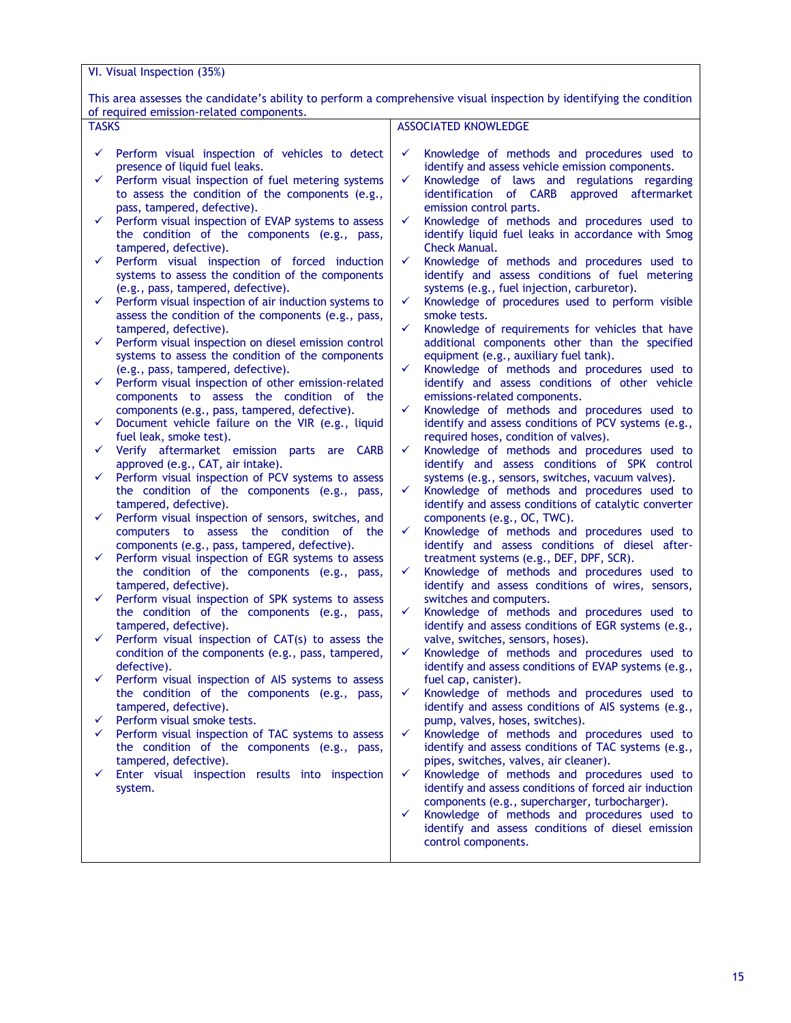This area assesses the candidate's ability to perform a comprehensive visual inspection by identifying the condition of required emission-related components.

| <b>TASKS</b>                                    |                                                                                                                                                                                                                                                                                                                                                                                                                                                                                                                                                                                                                                                                                                                                                                                                                                                                                                                                                                                                                                                                                                                                                                                  | <b>ASSOCIATED KNOWLEDGE</b>                                                                                                                                                                                                                                                                                                                                                                                                                                                                                                                                                                                                                                                                                                                                                                                                                                                                                                                                                                                                                                                                                                                                                                             |
|-------------------------------------------------|----------------------------------------------------------------------------------------------------------------------------------------------------------------------------------------------------------------------------------------------------------------------------------------------------------------------------------------------------------------------------------------------------------------------------------------------------------------------------------------------------------------------------------------------------------------------------------------------------------------------------------------------------------------------------------------------------------------------------------------------------------------------------------------------------------------------------------------------------------------------------------------------------------------------------------------------------------------------------------------------------------------------------------------------------------------------------------------------------------------------------------------------------------------------------------|---------------------------------------------------------------------------------------------------------------------------------------------------------------------------------------------------------------------------------------------------------------------------------------------------------------------------------------------------------------------------------------------------------------------------------------------------------------------------------------------------------------------------------------------------------------------------------------------------------------------------------------------------------------------------------------------------------------------------------------------------------------------------------------------------------------------------------------------------------------------------------------------------------------------------------------------------------------------------------------------------------------------------------------------------------------------------------------------------------------------------------------------------------------------------------------------------------|
| ✓<br>✓<br>✓<br>✓<br>$\checkmark$<br>✓<br>✓<br>✓ | Perform visual inspection of vehicles to detect<br>presence of liquid fuel leaks.<br>Perform visual inspection of fuel metering systems<br>to assess the condition of the components (e.g.,<br>pass, tampered, defective).<br>Perform visual inspection of EVAP systems to assess<br>the condition of the components (e.g., pass,<br>tampered, defective).<br>Perform visual inspection of forced induction<br>systems to assess the condition of the components<br>(e.g., pass, tampered, defective).<br>Perform visual inspection of air induction systems to<br>assess the condition of the components (e.g., pass,<br>tampered, defective).<br>Perform visual inspection on diesel emission control<br>systems to assess the condition of the components<br>(e.g., pass, tampered, defective).<br>Perform visual inspection of other emission-related<br>components to assess the condition of the<br>components (e.g., pass, tampered, defective).<br>Document vehicle failure on the VIR (e.g., liquid<br>fuel leak, smoke test).<br>Verify aftermarket emission parts are CARB<br>approved (e.g., CAT, air intake).<br>Perform visual inspection of PCV systems to assess | Knowledge of methods and procedures used to<br>✓<br>identify and assess vehicle emission components.<br>✓<br>Knowledge of laws and regulations regarding<br>identification of CARB approved aftermarket<br>emission control parts.<br>✓<br>Knowledge of methods and procedures used to<br>identify liquid fuel leaks in accordance with Smog<br>Check Manual.<br>✓<br>Knowledge of methods and procedures used to<br>identify and assess conditions of fuel metering<br>systems (e.g., fuel injection, carburetor).<br>✓<br>Knowledge of procedures used to perform visible<br>smoke tests.<br>✓<br>Knowledge of requirements for vehicles that have<br>additional components other than the specified<br>equipment (e.g., auxiliary fuel tank).<br>✓<br>Knowledge of methods and procedures used to<br>identify and assess conditions of other vehicle<br>emissions-related components.<br>✓<br>Knowledge of methods and procedures used to<br>identify and assess conditions of PCV systems (e.g.,<br>required hoses, condition of valves).<br>Knowledge of methods and procedures used to<br>✓<br>identify and assess conditions of SPK control<br>systems (e.g., sensors, switches, vacuum valves). |
|                                                 |                                                                                                                                                                                                                                                                                                                                                                                                                                                                                                                                                                                                                                                                                                                                                                                                                                                                                                                                                                                                                                                                                                                                                                                  |                                                                                                                                                                                                                                                                                                                                                                                                                                                                                                                                                                                                                                                                                                                                                                                                                                                                                                                                                                                                                                                                                                                                                                                                         |
|                                                 |                                                                                                                                                                                                                                                                                                                                                                                                                                                                                                                                                                                                                                                                                                                                                                                                                                                                                                                                                                                                                                                                                                                                                                                  |                                                                                                                                                                                                                                                                                                                                                                                                                                                                                                                                                                                                                                                                                                                                                                                                                                                                                                                                                                                                                                                                                                                                                                                                         |
|                                                 |                                                                                                                                                                                                                                                                                                                                                                                                                                                                                                                                                                                                                                                                                                                                                                                                                                                                                                                                                                                                                                                                                                                                                                                  |                                                                                                                                                                                                                                                                                                                                                                                                                                                                                                                                                                                                                                                                                                                                                                                                                                                                                                                                                                                                                                                                                                                                                                                                         |
| ✓<br>✓                                          | the condition of the components (e.g., pass,<br>tampered, defective).<br>Perform visual inspection of sensors, switches, and<br>computers to assess the condition of<br>the<br>components (e.g., pass, tampered, defective).<br>Perform visual inspection of EGR systems to assess<br>the condition of the components (e.g., pass,                                                                                                                                                                                                                                                                                                                                                                                                                                                                                                                                                                                                                                                                                                                                                                                                                                               | Knowledge of methods and procedures used to<br>✓<br>identify and assess conditions of catalytic converter<br>components (e.g., OC, TWC).<br>Knowledge of methods and procedures used to<br>✓<br>identify and assess conditions of diesel after-<br>treatment systems (e.g., DEF, DPF, SCR).<br>Knowledge of methods and procedures used to<br>✓                                                                                                                                                                                                                                                                                                                                                                                                                                                                                                                                                                                                                                                                                                                                                                                                                                                         |
| ✓                                               | tampered, defective).<br>Perform visual inspection of SPK systems to assess<br>the condition of the components (e.g., pass,<br>tampered, defective).                                                                                                                                                                                                                                                                                                                                                                                                                                                                                                                                                                                                                                                                                                                                                                                                                                                                                                                                                                                                                             | identify and assess conditions of wires, sensors,<br>switches and computers.<br>Knowledge of methods and procedures used to<br>✓<br>identify and assess conditions of EGR systems (e.g.,                                                                                                                                                                                                                                                                                                                                                                                                                                                                                                                                                                                                                                                                                                                                                                                                                                                                                                                                                                                                                |
|                                                 | Perform visual inspection of CAT(s) to assess the<br>condition of the components (e.g., pass, tampered,<br>defective).                                                                                                                                                                                                                                                                                                                                                                                                                                                                                                                                                                                                                                                                                                                                                                                                                                                                                                                                                                                                                                                           | valve, switches, sensors, hoses).<br>Knowledge of methods and procedures used to<br>✓<br>identify and assess conditions of EVAP systems (e.g.,                                                                                                                                                                                                                                                                                                                                                                                                                                                                                                                                                                                                                                                                                                                                                                                                                                                                                                                                                                                                                                                          |
| ✓                                               | Perform visual inspection of AIS systems to assess<br>the condition of the components (e.g., pass,<br>tampered, defective).                                                                                                                                                                                                                                                                                                                                                                                                                                                                                                                                                                                                                                                                                                                                                                                                                                                                                                                                                                                                                                                      | fuel cap, canister).<br>Knowledge of methods and procedures used to<br>✓<br>identify and assess conditions of AIS systems (e.g.,                                                                                                                                                                                                                                                                                                                                                                                                                                                                                                                                                                                                                                                                                                                                                                                                                                                                                                                                                                                                                                                                        |
| ✓                                               | Perform visual smoke tests.                                                                                                                                                                                                                                                                                                                                                                                                                                                                                                                                                                                                                                                                                                                                                                                                                                                                                                                                                                                                                                                                                                                                                      | pump, valves, hoses, switches).                                                                                                                                                                                                                                                                                                                                                                                                                                                                                                                                                                                                                                                                                                                                                                                                                                                                                                                                                                                                                                                                                                                                                                         |
| ✓                                               | Perform visual inspection of TAC systems to assess<br>the condition of the components (e.g., pass,<br>tampered, defective).                                                                                                                                                                                                                                                                                                                                                                                                                                                                                                                                                                                                                                                                                                                                                                                                                                                                                                                                                                                                                                                      | Knowledge of methods and procedures used to<br>✓<br>identify and assess conditions of TAC systems (e.g.,<br>pipes, switches, valves, air cleaner).                                                                                                                                                                                                                                                                                                                                                                                                                                                                                                                                                                                                                                                                                                                                                                                                                                                                                                                                                                                                                                                      |
| ✓                                               | Enter visual inspection results into inspection<br>system.                                                                                                                                                                                                                                                                                                                                                                                                                                                                                                                                                                                                                                                                                                                                                                                                                                                                                                                                                                                                                                                                                                                       | $\checkmark$<br>Knowledge of methods and procedures used to<br>identify and assess conditions of forced air induction<br>components (e.g., supercharger, turbocharger).<br>Knowledge of methods and procedures used to<br>$\checkmark$<br>identify and assess conditions of diesel emission<br>control components.                                                                                                                                                                                                                                                                                                                                                                                                                                                                                                                                                                                                                                                                                                                                                                                                                                                                                      |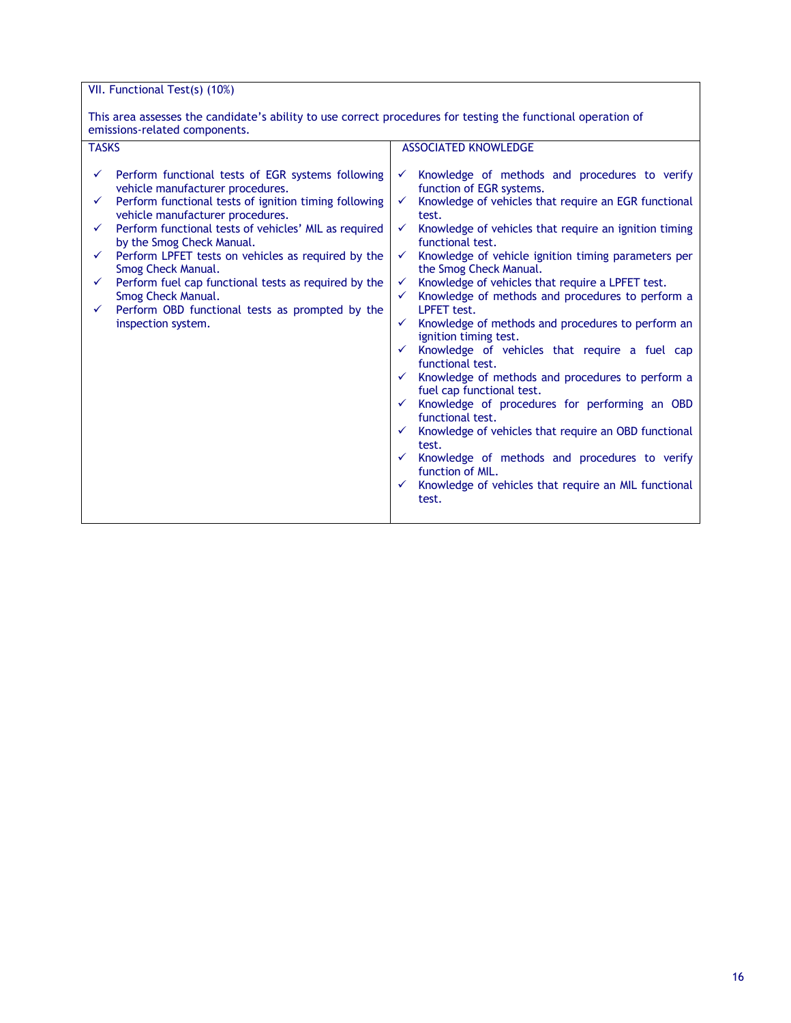VII. Functional Test(s) (10%)

This area assesses the candidate's ability to use correct procedures for testing the functional operation of emissions-related components.

| <b>TASKS</b> |                                                                                           |              | <b>ASSOCIATED KNOWLEDGE</b>                                                   |
|--------------|-------------------------------------------------------------------------------------------|--------------|-------------------------------------------------------------------------------|
|              |                                                                                           |              |                                                                               |
| ✓            | Perform functional tests of EGR systems following<br>vehicle manufacturer procedures.     | ✓            | Knowledge of methods and procedures to verify<br>function of EGR systems.     |
|              | Perform functional tests of ignition timing following<br>vehicle manufacturer procedures. | ✓            | Knowledge of vehicles that require an EGR functional<br>test.                 |
|              | Perform functional tests of vehicles' MIL as required<br>by the Smog Check Manual.        | ✓            | Knowledge of vehicles that require an ignition timing<br>functional test.     |
| ✓            | Perform LPFET tests on vehicles as required by the<br>Smog Check Manual.                  | ✓            | Knowledge of vehicle ignition timing parameters per<br>the Smog Check Manual. |
| ✓            | Perform fuel cap functional tests as required by the                                      | ✓            | Knowledge of vehicles that require a LPFET test.                              |
|              | Smog Check Manual.                                                                        | ✓            | Knowledge of methods and procedures to perform a                              |
|              | Perform OBD functional tests as prompted by the                                           |              | <b>LPFET</b> test.                                                            |
|              | inspection system.                                                                        | ✓            | Knowledge of methods and procedures to perform an<br>ignition timing test.    |
|              |                                                                                           | ✓            | Knowledge of vehicles that require a fuel cap<br>functional test.             |
|              |                                                                                           |              | Knowledge of methods and procedures to perform a<br>fuel cap functional test. |
|              |                                                                                           | $\checkmark$ | Knowledge of procedures for performing an OBD<br>functional test.             |
|              |                                                                                           | $\checkmark$ | Knowledge of vehicles that require an OBD functional<br>test.                 |
|              |                                                                                           | $\checkmark$ | Knowledge of methods and procedures to verify<br>function of MIL.             |
|              |                                                                                           | $\checkmark$ | Knowledge of vehicles that require an MIL functional<br>test.                 |
|              |                                                                                           |              |                                                                               |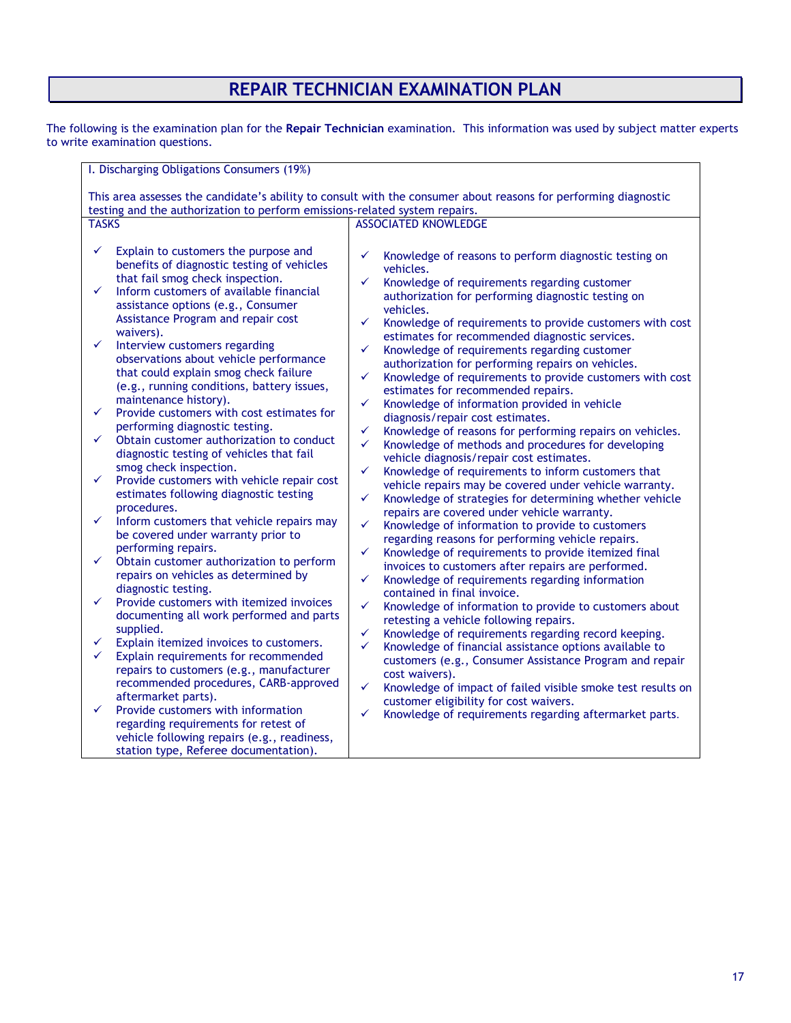# **REPAIR TECHNICIAN EXAMINATION PLAN**

The following is the examination plan for the **Repair Technician** examination. This information was used by subject matter experts to write examination questions.

| I. Discharging Obligations Consumers (19%)                                                                                                                                                                                                                                                                                                                                                                                                                                                                                                                                                                                                                                                                                                                                                                                                                                                                                                                                                                                                                                                                                                                                                                                                                                                                                                                                                                                                                                                                               |                                                                                                                                                                                                                                                                                                                                                                                                                                                                                                                                                                                                                                                                                                                                                                                                                                                                                                                                                                                                                                                                                                                                                                                                                                                                                                                                                                                                                                                                                                                                                                                                                                                                                                                                                                                                                                                               |  |  |
|--------------------------------------------------------------------------------------------------------------------------------------------------------------------------------------------------------------------------------------------------------------------------------------------------------------------------------------------------------------------------------------------------------------------------------------------------------------------------------------------------------------------------------------------------------------------------------------------------------------------------------------------------------------------------------------------------------------------------------------------------------------------------------------------------------------------------------------------------------------------------------------------------------------------------------------------------------------------------------------------------------------------------------------------------------------------------------------------------------------------------------------------------------------------------------------------------------------------------------------------------------------------------------------------------------------------------------------------------------------------------------------------------------------------------------------------------------------------------------------------------------------------------|---------------------------------------------------------------------------------------------------------------------------------------------------------------------------------------------------------------------------------------------------------------------------------------------------------------------------------------------------------------------------------------------------------------------------------------------------------------------------------------------------------------------------------------------------------------------------------------------------------------------------------------------------------------------------------------------------------------------------------------------------------------------------------------------------------------------------------------------------------------------------------------------------------------------------------------------------------------------------------------------------------------------------------------------------------------------------------------------------------------------------------------------------------------------------------------------------------------------------------------------------------------------------------------------------------------------------------------------------------------------------------------------------------------------------------------------------------------------------------------------------------------------------------------------------------------------------------------------------------------------------------------------------------------------------------------------------------------------------------------------------------------------------------------------------------------------------------------------------------------|--|--|
| This area assesses the candidate's ability to consult with the consumer about reasons for performing diagnostic                                                                                                                                                                                                                                                                                                                                                                                                                                                                                                                                                                                                                                                                                                                                                                                                                                                                                                                                                                                                                                                                                                                                                                                                                                                                                                                                                                                                          |                                                                                                                                                                                                                                                                                                                                                                                                                                                                                                                                                                                                                                                                                                                                                                                                                                                                                                                                                                                                                                                                                                                                                                                                                                                                                                                                                                                                                                                                                                                                                                                                                                                                                                                                                                                                                                                               |  |  |
| testing and the authorization to perform emissions-related system repairs.                                                                                                                                                                                                                                                                                                                                                                                                                                                                                                                                                                                                                                                                                                                                                                                                                                                                                                                                                                                                                                                                                                                                                                                                                                                                                                                                                                                                                                               |                                                                                                                                                                                                                                                                                                                                                                                                                                                                                                                                                                                                                                                                                                                                                                                                                                                                                                                                                                                                                                                                                                                                                                                                                                                                                                                                                                                                                                                                                                                                                                                                                                                                                                                                                                                                                                                               |  |  |
| <b>TASKS</b>                                                                                                                                                                                                                                                                                                                                                                                                                                                                                                                                                                                                                                                                                                                                                                                                                                                                                                                                                                                                                                                                                                                                                                                                                                                                                                                                                                                                                                                                                                             | <b>ASSOCIATED KNOWLEDGE</b>                                                                                                                                                                                                                                                                                                                                                                                                                                                                                                                                                                                                                                                                                                                                                                                                                                                                                                                                                                                                                                                                                                                                                                                                                                                                                                                                                                                                                                                                                                                                                                                                                                                                                                                                                                                                                                   |  |  |
| Explain to customers the purpose and<br>✓<br>benefits of diagnostic testing of vehicles<br>that fail smog check inspection.<br>✓<br>Inform customers of available financial<br>assistance options (e.g., Consumer<br>Assistance Program and repair cost<br>waivers).<br>✓<br>Interview customers regarding<br>observations about vehicle performance<br>that could explain smog check failure<br>(e.g., running conditions, battery issues,<br>maintenance history).<br>Provide customers with cost estimates for<br>✓<br>performing diagnostic testing.<br>Obtain customer authorization to conduct<br>✓<br>diagnostic testing of vehicles that fail<br>smog check inspection.<br>Provide customers with vehicle repair cost<br>✓<br>estimates following diagnostic testing<br>procedures.<br>✓<br>Inform customers that vehicle repairs may<br>be covered under warranty prior to<br>performing repairs.<br>✓<br>Obtain customer authorization to perform<br>repairs on vehicles as determined by<br>diagnostic testing.<br>Provide customers with itemized invoices<br>✓<br>documenting all work performed and parts<br>supplied.<br>✓<br>Explain itemized invoices to customers.<br>✓<br>Explain requirements for recommended<br>repairs to customers (e.g., manufacturer<br>recommended procedures, CARB-approved<br>aftermarket parts).<br>Provide customers with information<br>✓<br>regarding requirements for retest of<br>vehicle following repairs (e.g., readiness,<br>station type, Referee documentation). | Knowledge of reasons to perform diagnostic testing on<br>✓<br>vehicles.<br>✓<br>Knowledge of requirements regarding customer<br>authorization for performing diagnostic testing on<br>vehicles.<br>✓<br>Knowledge of requirements to provide customers with cost<br>estimates for recommended diagnostic services.<br>✓<br>Knowledge of requirements regarding customer<br>authorization for performing repairs on vehicles.<br>✓<br>Knowledge of requirements to provide customers with cost<br>estimates for recommended repairs.<br>Knowledge of information provided in vehicle<br>✓<br>diagnosis/repair cost estimates.<br>✓<br>Knowledge of reasons for performing repairs on vehicles.<br>✓<br>Knowledge of methods and procedures for developing<br>vehicle diagnosis/repair cost estimates.<br>✓<br>Knowledge of requirements to inform customers that<br>vehicle repairs may be covered under vehicle warranty.<br>✓<br>Knowledge of strategies for determining whether vehicle<br>repairs are covered under vehicle warranty.<br>✓<br>Knowledge of information to provide to customers<br>regarding reasons for performing vehicle repairs.<br>Knowledge of requirements to provide itemized final<br>✓<br>invoices to customers after repairs are performed.<br>✓<br>Knowledge of requirements regarding information<br>contained in final invoice.<br>✓<br>Knowledge of information to provide to customers about<br>retesting a vehicle following repairs.<br>Knowledge of requirements regarding record keeping.<br>✓<br>✓<br>Knowledge of financial assistance options available to<br>customers (e.g., Consumer Assistance Program and repair<br>cost waivers).<br>Knowledge of impact of failed visible smoke test results on<br>✓<br>customer eligibility for cost waivers.<br>✓<br>Knowledge of requirements regarding aftermarket parts. |  |  |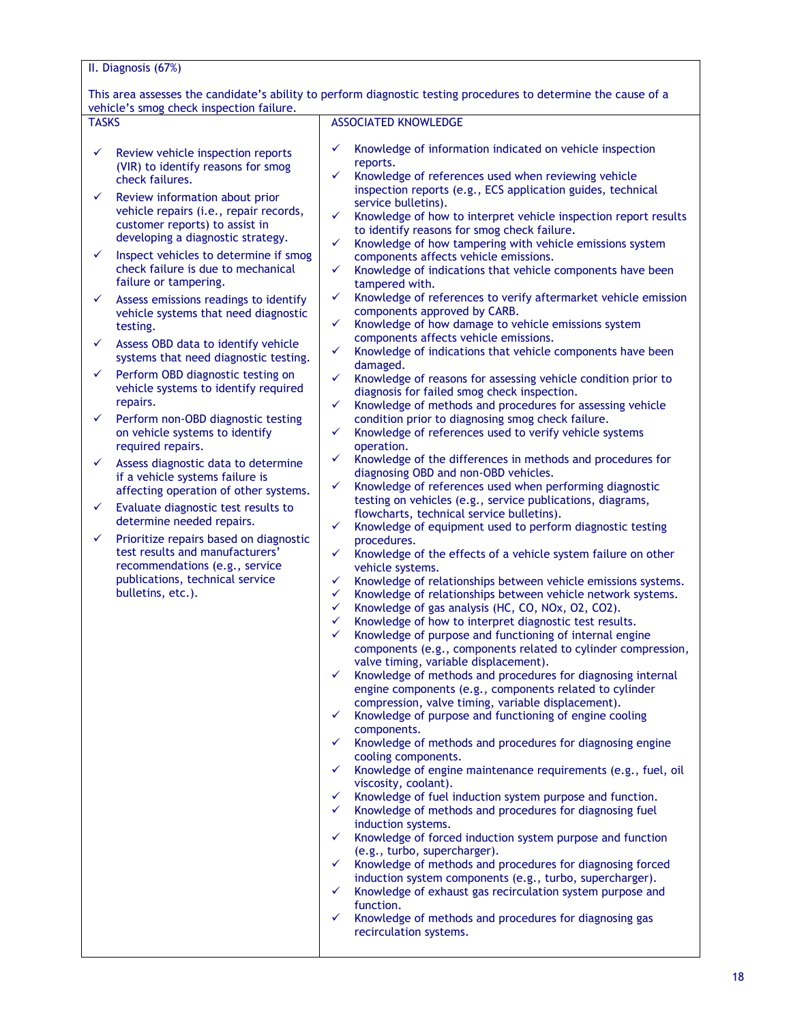### II. Diagnosis (67%)

This area assesses the candidate's ability to perform diagnostic testing procedures to determine the cause of a vehicle's smog check inspection failure.

| <b>TASKS</b> |                                                                                                                                                                                                  | <b>ASSOCIATED KNOWLEDGE</b>                                                                                                                                                                                                                                                                                                                                                                                                                                                                                                                                                                                                                                                                                                                                                                                                                                                                                                                                                                                                                                                                                                                                                                                                                                                                                                                                                                                                                                                                                                                                                                                                                                                                                                                                                                  |  |  |
|--------------|--------------------------------------------------------------------------------------------------------------------------------------------------------------------------------------------------|----------------------------------------------------------------------------------------------------------------------------------------------------------------------------------------------------------------------------------------------------------------------------------------------------------------------------------------------------------------------------------------------------------------------------------------------------------------------------------------------------------------------------------------------------------------------------------------------------------------------------------------------------------------------------------------------------------------------------------------------------------------------------------------------------------------------------------------------------------------------------------------------------------------------------------------------------------------------------------------------------------------------------------------------------------------------------------------------------------------------------------------------------------------------------------------------------------------------------------------------------------------------------------------------------------------------------------------------------------------------------------------------------------------------------------------------------------------------------------------------------------------------------------------------------------------------------------------------------------------------------------------------------------------------------------------------------------------------------------------------------------------------------------------------|--|--|
| ✓            | Review vehicle inspection reports<br>(VIR) to identify reasons for smog<br>check failures.                                                                                                       | ✓<br>Knowledge of information indicated on vehicle inspection<br>reports.<br>$\checkmark$<br>Knowledge of references used when reviewing vehicle                                                                                                                                                                                                                                                                                                                                                                                                                                                                                                                                                                                                                                                                                                                                                                                                                                                                                                                                                                                                                                                                                                                                                                                                                                                                                                                                                                                                                                                                                                                                                                                                                                             |  |  |
| ✓            | Review information about prior<br>vehicle repairs (i.e., repair records,<br>customer reports) to assist in<br>developing a diagnostic strategy.                                                  | inspection reports (e.g., ECS application guides, technical<br>service bulletins).<br>$\checkmark$<br>Knowledge of how to interpret vehicle inspection report results<br>to identify reasons for smog check failure.<br>$\checkmark$<br>Knowledge of how tampering with vehicle emissions system                                                                                                                                                                                                                                                                                                                                                                                                                                                                                                                                                                                                                                                                                                                                                                                                                                                                                                                                                                                                                                                                                                                                                                                                                                                                                                                                                                                                                                                                                             |  |  |
| ✓            | Inspect vehicles to determine if smog<br>check failure is due to mechanical<br>failure or tampering.                                                                                             | components affects vehicle emissions.<br>$\checkmark$<br>Knowledge of indications that vehicle components have been<br>tampered with.                                                                                                                                                                                                                                                                                                                                                                                                                                                                                                                                                                                                                                                                                                                                                                                                                                                                                                                                                                                                                                                                                                                                                                                                                                                                                                                                                                                                                                                                                                                                                                                                                                                        |  |  |
| ✓            | Assess emissions readings to identify<br>vehicle systems that need diagnostic<br>testing.                                                                                                        | ✓<br>Knowledge of references to verify aftermarket vehicle emission<br>components approved by CARB.<br>✓<br>Knowledge of how damage to vehicle emissions system                                                                                                                                                                                                                                                                                                                                                                                                                                                                                                                                                                                                                                                                                                                                                                                                                                                                                                                                                                                                                                                                                                                                                                                                                                                                                                                                                                                                                                                                                                                                                                                                                              |  |  |
| ✓            | Assess OBD data to identify vehicle<br>systems that need diagnostic testing.                                                                                                                     | components affects vehicle emissions.<br>✓<br>Knowledge of indications that vehicle components have been<br>damaged.                                                                                                                                                                                                                                                                                                                                                                                                                                                                                                                                                                                                                                                                                                                                                                                                                                                                                                                                                                                                                                                                                                                                                                                                                                                                                                                                                                                                                                                                                                                                                                                                                                                                         |  |  |
| ✓            | Perform OBD diagnostic testing on<br>vehicle systems to identify required<br>repairs.                                                                                                            | $\checkmark$<br>Knowledge of reasons for assessing vehicle condition prior to<br>diagnosis for failed smog check inspection.<br>✓                                                                                                                                                                                                                                                                                                                                                                                                                                                                                                                                                                                                                                                                                                                                                                                                                                                                                                                                                                                                                                                                                                                                                                                                                                                                                                                                                                                                                                                                                                                                                                                                                                                            |  |  |
| ✓            | Perform non-OBD diagnostic testing<br>on vehicle systems to identify<br>required repairs.                                                                                                        | Knowledge of methods and procedures for assessing vehicle<br>condition prior to diagnosing smog check failure.<br>✓<br>Knowledge of references used to verify vehicle systems<br>operation.                                                                                                                                                                                                                                                                                                                                                                                                                                                                                                                                                                                                                                                                                                                                                                                                                                                                                                                                                                                                                                                                                                                                                                                                                                                                                                                                                                                                                                                                                                                                                                                                  |  |  |
| ✓            | Assess diagnostic data to determine<br>if a vehicle systems failure is                                                                                                                           | ✓<br>Knowledge of the differences in methods and procedures for<br>diagnosing OBD and non-OBD vehicles.<br>✓<br>Knowledge of references used when performing diagnostic                                                                                                                                                                                                                                                                                                                                                                                                                                                                                                                                                                                                                                                                                                                                                                                                                                                                                                                                                                                                                                                                                                                                                                                                                                                                                                                                                                                                                                                                                                                                                                                                                      |  |  |
| ✓            | affecting operation of other systems.<br>Evaluate diagnostic test results to                                                                                                                     | testing on vehicles (e.g., service publications, diagrams,<br>flowcharts, technical service bulletins).                                                                                                                                                                                                                                                                                                                                                                                                                                                                                                                                                                                                                                                                                                                                                                                                                                                                                                                                                                                                                                                                                                                                                                                                                                                                                                                                                                                                                                                                                                                                                                                                                                                                                      |  |  |
| ✓            | determine needed repairs.<br>Prioritize repairs based on diagnostic<br>test results and manufacturers'<br>recommendations (e.g., service<br>publications, technical service<br>bulletins, etc.). | $\checkmark$<br>Knowledge of equipment used to perform diagnostic testing<br>procedures.<br>$\checkmark$<br>Knowledge of the effects of a vehicle system failure on other<br>vehicle systems.<br>$\checkmark$<br>Knowledge of relationships between vehicle emissions systems.<br>$\checkmark$<br>Knowledge of relationships between vehicle network systems.<br>$\checkmark$<br>Knowledge of gas analysis (HC, CO, NOx, O2, CO2).<br>$\checkmark$<br>Knowledge of how to interpret diagnostic test results.<br>✓<br>Knowledge of purpose and functioning of internal engine<br>components (e.g., components related to cylinder compression,<br>valve timing, variable displacement).<br>Knowledge of methods and procedures for diagnosing internal<br>✓<br>engine components (e.g., components related to cylinder<br>compression, valve timing, variable displacement).<br>Knowledge of purpose and functioning of engine cooling<br>✓<br>components.<br>Knowledge of methods and procedures for diagnosing engine<br>$\checkmark$<br>cooling components.<br>Knowledge of engine maintenance requirements (e.g., fuel, oil<br>✓<br>viscosity, coolant).<br>Knowledge of fuel induction system purpose and function.<br>$\checkmark$<br>Knowledge of methods and procedures for diagnosing fuel<br>$\checkmark$<br>induction systems.<br>Knowledge of forced induction system purpose and function<br>$\checkmark$<br>(e.g., turbo, supercharger).<br>Knowledge of methods and procedures for diagnosing forced<br>$\checkmark$<br>induction system components (e.g., turbo, supercharger).<br>Knowledge of exhaust gas recirculation system purpose and<br>$\checkmark$<br>function.<br>Knowledge of methods and procedures for diagnosing gas<br>$\checkmark$<br>recirculation systems. |  |  |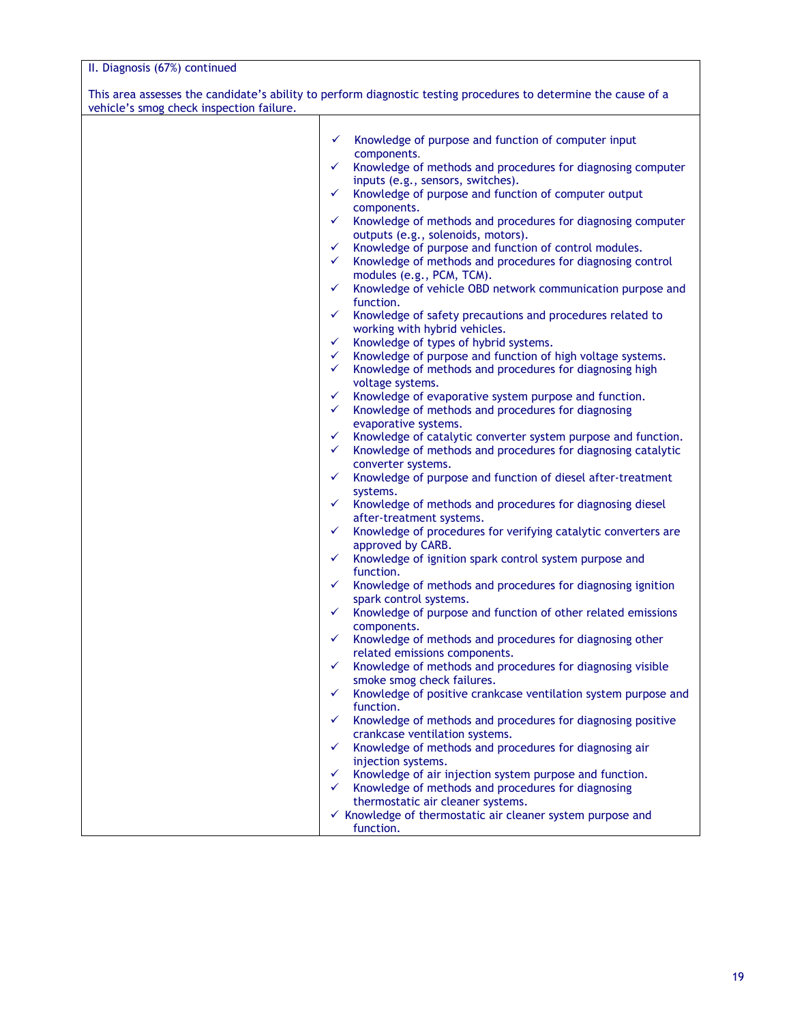| vehicle's smog check inspection failure. | This area assesses the candidate's ability to perform diagnostic testing procedures to determine the cause of a |
|------------------------------------------|-----------------------------------------------------------------------------------------------------------------|
|                                          |                                                                                                                 |
|                                          | Knowledge of purpose and function of computer input<br>✓                                                        |
|                                          | components.                                                                                                     |
|                                          | ✓<br>Knowledge of methods and procedures for diagnosing computer                                                |
|                                          | inputs (e.g., sensors, switches).                                                                               |
|                                          | Knowledge of purpose and function of computer output<br>✓                                                       |
|                                          | components.                                                                                                     |
|                                          | Knowledge of methods and procedures for diagnosing computer<br>✓                                                |
|                                          | outputs (e.g., solenoids, motors).                                                                              |
|                                          | Knowledge of purpose and function of control modules.<br>✓                                                      |
|                                          | Knowledge of methods and procedures for diagnosing control<br>$\checkmark$                                      |
|                                          | modules (e.g., PCM, TCM).                                                                                       |
|                                          | Knowledge of vehicle OBD network communication purpose and<br>✓                                                 |
|                                          | function.<br>✓                                                                                                  |
|                                          | Knowledge of safety precautions and procedures related to<br>working with hybrid vehicles.                      |
|                                          | Knowledge of types of hybrid systems.<br>✓                                                                      |
|                                          | Knowledge of purpose and function of high voltage systems.<br>✓                                                 |
|                                          | $\checkmark$<br>Knowledge of methods and procedures for diagnosing high                                         |
|                                          | voltage systems.                                                                                                |
|                                          | ✓<br>Knowledge of evaporative system purpose and function.                                                      |
|                                          | Knowledge of methods and procedures for diagnosing<br>$\checkmark$                                              |
|                                          | evaporative systems.                                                                                            |
|                                          | ✓<br>Knowledge of catalytic converter system purpose and function.                                              |
|                                          | Knowledge of methods and procedures for diagnosing catalytic<br>✓                                               |
|                                          | converter systems.                                                                                              |
|                                          | Knowledge of purpose and function of diesel after-treatment<br>✓                                                |
|                                          | systems.                                                                                                        |
|                                          | ✓<br>Knowledge of methods and procedures for diagnosing diesel                                                  |
|                                          | after-treatment systems.                                                                                        |
|                                          | Knowledge of procedures for verifying catalytic converters are<br>✓                                             |
|                                          | approved by CARB.                                                                                               |
|                                          | Knowledge of ignition spark control system purpose and<br>✓                                                     |
|                                          | function.                                                                                                       |
|                                          | Knowledge of methods and procedures for diagnosing ignition<br>✓                                                |
|                                          | spark control systems.                                                                                          |
|                                          | Knowledge of purpose and function of other related emissions<br>✓                                               |
|                                          | components.                                                                                                     |
|                                          | Knowledge of methods and procedures for diagnosing other<br>$\checkmark$                                        |
|                                          | related emissions components.                                                                                   |
|                                          | Knowledge of methods and procedures for diagnosing visible<br>✓                                                 |
|                                          | smoke smog check failures.                                                                                      |
|                                          | Knowledge of positive crankcase ventilation system purpose and<br>✓                                             |
|                                          | function.                                                                                                       |
|                                          | Knowledge of methods and procedures for diagnosing positive<br>✓                                                |
|                                          | crankcase ventilation systems.                                                                                  |
|                                          | Knowledge of methods and procedures for diagnosing air<br>✓                                                     |
|                                          | injection systems.                                                                                              |
|                                          | Knowledge of air injection system purpose and function.<br>✓<br>$\checkmark$                                    |
|                                          | Knowledge of methods and procedures for diagnosing                                                              |
|                                          | thermostatic air cleaner systems.<br>✓ Knowledge of thermostatic air cleaner system purpose and                 |
|                                          | function.                                                                                                       |
|                                          |                                                                                                                 |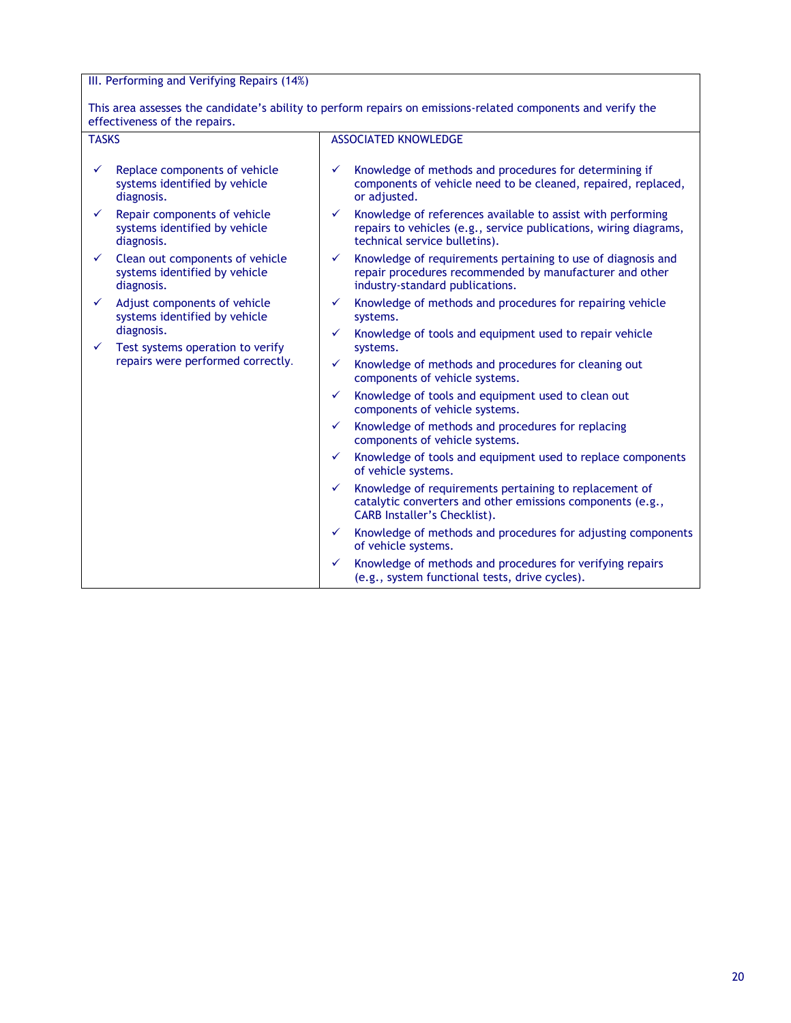### III. Performing and Verifying Repairs (14%)

This area assesses the candidate's ability to perform repairs on emissions-related components and verify the effectiveness of the repairs.

| <b>TASKS</b> |                                                                                     | <b>ASSOCIATED KNOWLEDGE</b> |                                                                                                                                                                   |  |
|--------------|-------------------------------------------------------------------------------------|-----------------------------|-------------------------------------------------------------------------------------------------------------------------------------------------------------------|--|
|              |                                                                                     |                             |                                                                                                                                                                   |  |
| ✓            | Replace components of vehicle<br>systems identified by vehicle<br>diagnosis.        | $\checkmark$                | Knowledge of methods and procedures for determining if<br>components of vehicle need to be cleaned, repaired, replaced,<br>or adjusted.                           |  |
|              | Repair components of vehicle<br>systems identified by vehicle<br>diagnosis.         | ✓                           | Knowledge of references available to assist with performing<br>repairs to vehicles (e.g., service publications, wiring diagrams,<br>technical service bulletins). |  |
| ✓            | Clean out components of vehicle<br>systems identified by vehicle<br>diagnosis.      | $\checkmark$                | Knowledge of requirements pertaining to use of diagnosis and<br>repair procedures recommended by manufacturer and other<br>industry-standard publications.        |  |
| ✓            | Adjust components of vehicle<br>systems identified by vehicle                       | ✓                           | Knowledge of methods and procedures for repairing vehicle<br>systems.                                                                                             |  |
|              | diagnosis.<br>Test systems operation to verify<br>repairs were performed correctly. | ✓                           | Knowledge of tools and equipment used to repair vehicle<br>systems.                                                                                               |  |
|              |                                                                                     | ✓                           | Knowledge of methods and procedures for cleaning out<br>components of vehicle systems.                                                                            |  |
|              |                                                                                     | ✓                           | Knowledge of tools and equipment used to clean out<br>components of vehicle systems.                                                                              |  |
|              |                                                                                     | ✓                           | Knowledge of methods and procedures for replacing<br>components of vehicle systems.                                                                               |  |
|              |                                                                                     | ✓                           | Knowledge of tools and equipment used to replace components<br>of vehicle systems.                                                                                |  |
|              |                                                                                     | ✓                           | Knowledge of requirements pertaining to replacement of<br>catalytic converters and other emissions components (e.g.,<br><b>CARB Installer's Checklist).</b>       |  |
|              |                                                                                     | ✓                           | Knowledge of methods and procedures for adjusting components<br>of vehicle systems.                                                                               |  |
|              |                                                                                     | $\checkmark$                | Knowledge of methods and procedures for verifying repairs<br>(e.g., system functional tests, drive cycles).                                                       |  |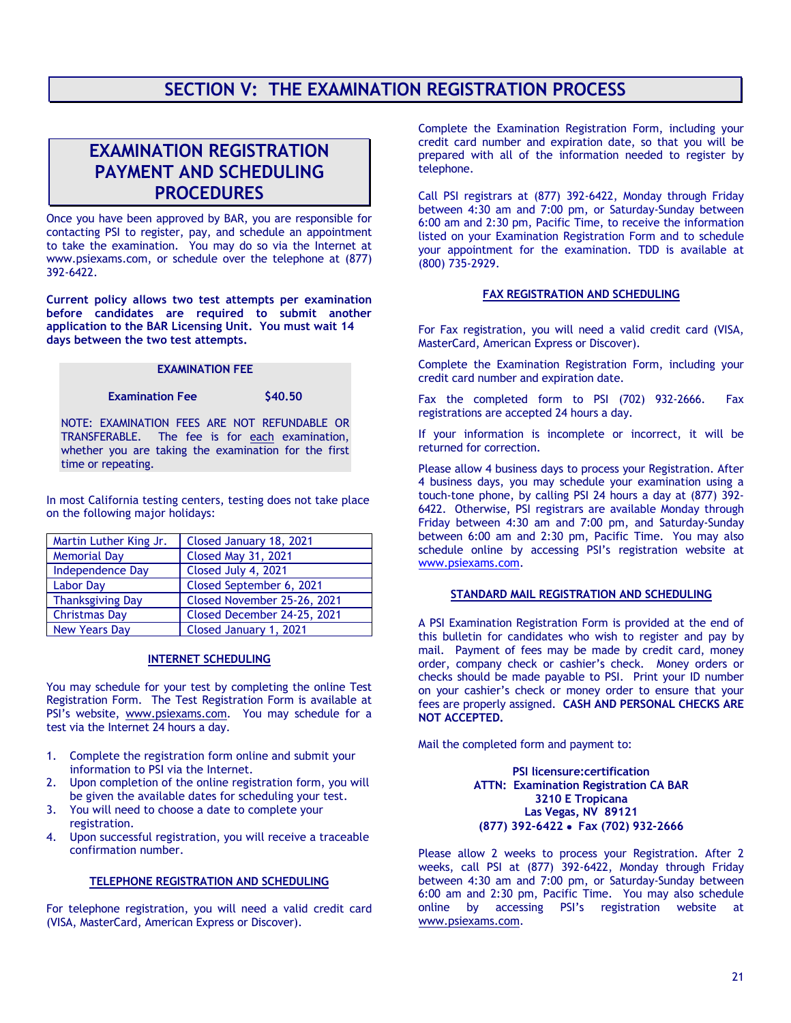# **SECTION V: THE EXAMINATION REGISTRATION PROCESS**

# **EXAMINATION REGISTRATION PAYMENT AND SCHEDULING PROCEDURES**

Once you have been approved by BAR, you are responsible for contacting PSI to register, pay, and schedule an appointment to take the examination. You may do so via the Internet at www.psiexams.com, or schedule over the telephone at (877) 392-6422.

**Current policy allows two test attempts per examination before candidates are required to submit another application to the BAR Licensing Unit. You must wait 14 days between the two test attempts.**

### **EXAMINATION FEE**

#### **Examination Fee** \$40.50

time or repeating.

NOTE: EXAMINATION FEES ARE NOT REFUNDABLE OR TRANSFERABLE. The fee is for each examination, whether you are taking the examination for the first

In most California testing centers, testing does not take place on the following major holidays:

| Martin Luther King Jr.  | Closed January 18, 2021     |
|-------------------------|-----------------------------|
| <b>Memorial Day</b>     | <b>Closed May 31, 2021</b>  |
| <b>Independence Day</b> | Closed July 4, 2021         |
| <b>Labor Day</b>        | Closed September 6, 2021    |
| <b>Thanksgiving Day</b> | Closed November 25-26, 2021 |
| <b>Christmas Day</b>    | Closed December 24-25, 2021 |
| <b>New Years Day</b>    | Closed January 1, 2021      |

#### **INTERNET SCHEDULING**

You may schedule for your test by completing the online Test Registration Form. The Test Registration Form is available at PSI's website, [www.psiexams.com.](http://www.psiexams.com/) You may schedule for a test via the Internet 24 hours a day.

- 1. Complete the registration form online and submit your information to PSI via the Internet.
- 2. Upon completion of the online registration form, you will be given the available dates for scheduling your test.
- 3. You will need to choose a date to complete your registration.
- 4. Upon successful registration, you will receive a traceable confirmation number.

#### **TELEPHONE REGISTRATION AND SCHEDULING**

For telephone registration, you will need a valid credit card (VISA, MasterCard, American Express or Discover).

Complete the Examination Registration Form, including your credit card number and expiration date, so that you will be prepared with all of the information needed to register by telephone.

Call PSI registrars at (877) 392-6422, Monday through Friday between 4:30 am and 7:00 pm, or Saturday-Sunday between 6:00 am and 2:30 pm, Pacific Time, to receive the information listed on your Examination Registration Form and to schedule your appointment for the examination. TDD is available at (800) 735-2929.

#### **FAX REGISTRATION AND SCHEDULING**

For Fax registration, you will need a valid credit card (VISA, MasterCard, American Express or Discover).

Complete the Examination Registration Form, including your credit card number and expiration date.

Fax the completed form to PSI (702) 932-2666. Fax registrations are accepted 24 hours a day.

If your information is incomplete or incorrect, it will be returned for correction.

Please allow 4 business days to process your Registration. After 4 business days, you may schedule your examination using a touch-tone phone, by calling PSI 24 hours a day at (877) 392- 6422. Otherwise, PSI registrars are available Monday through Friday between 4:30 am and 7:00 pm, and Saturday-Sunday between 6:00 am and 2:30 pm, Pacific Time. You may also schedule online by accessing PSI's registration website at [www.psiexams.com.](http://www.psiexams.com/)

#### **STANDARD MAIL REGISTRATION AND SCHEDULING**

A PSI Examination Registration Form is provided at the end of this bulletin for candidates who wish to register and pay by mail. Payment of fees may be made by credit card, money order, company check or cashier's check. Money orders or checks should be made payable to PSI. Print your ID number on your cashier's check or money order to ensure that your fees are properly assigned. **CASH AND PERSONAL CHECKS ARE NOT ACCEPTED.**

Mail the completed form and payment to:

**PSI licensure:certification ATTN: Examination Registration CA BAR 3210 E Tropicana Las Vegas, NV 89121 (877) 392-6422** • **Fax (702) 932-2666**

Please allow 2 weeks to process your Registration. After 2 weeks, call PSI at (877) 392-6422, Monday through Friday between 4:30 am and 7:00 pm, or Saturday-Sunday between 6:00 am and 2:30 pm, Pacific Time. You may also schedule online by accessing PSI's registration website at [www.psiexams.com.](http://www.psiexams.com/)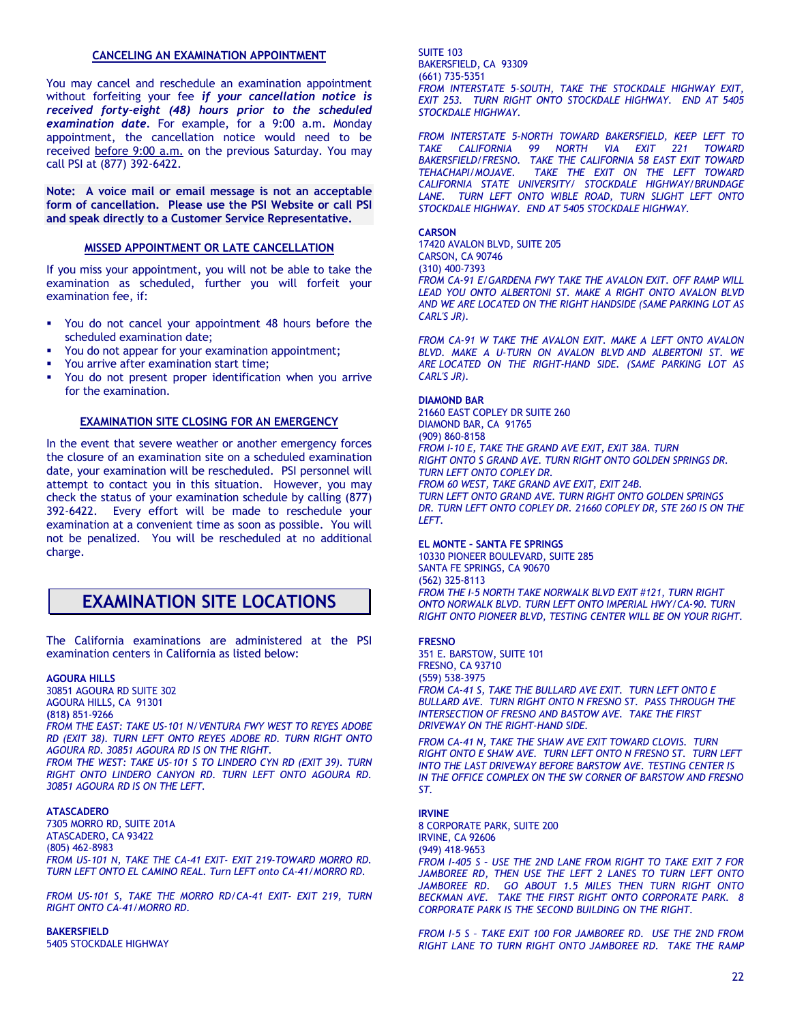#### **CANCELING AN EXAMINATION APPOINTMENT**

You may cancel and reschedule an examination appointment without forfeiting your fee *if your cancellation notice is received forty-eight (48) hours prior to the scheduled examination date.* For example, for a 9:00 a.m. Monday appointment, the cancellation notice would need to be received before 9:00 a.m. on the previous Saturday. You may call PSI at (877) 392-6422.

**Note: A voice mail or email message is not an acceptable form of cancellation. Please use the PSI Website or call PSI and speak directly to a Customer Service Representative.** 

#### **MISSED APPOINTMENT OR LATE CANCELLATION**

If you miss your appointment, you will not be able to take the examination as scheduled, further you will forfeit your examination fee, if:

- You do not cancel your appointment 48 hours before the scheduled examination date;
- You do not appear for your examination appointment;
- You arrive after examination start time;
- You do not present proper identification when you arrive for the examination.

#### **EXAMINATION SITE CLOSING FOR AN EMERGENCY**

In the event that severe weather or another emergency forces the closure of an examination site on a scheduled examination date, your examination will be rescheduled. PSI personnel will attempt to contact you in this situation. However, you may check the status of your examination schedule by calling (877) 392-6422. Every effort will be made to reschedule your examination at a convenient time as soon as possible. You will not be penalized. You will be rescheduled at no additional charge.

### **EXAMINATION SITE LOCATIONS**

The California examinations are administered at the PSI examination centers in California as listed below:

#### **AGOURA HILLS**

30851 AGOURA RD SUITE 302 AGOURA HILLS, CA 91301 **(**818**)** 851-9266 *FROM THE EAST: TAKE US-101 N/VENTURA FWY WEST TO REYES ADOBE RD (EXIT 38). TURN LEFT ONTO REYES ADOBE RD. TURN RIGHT ONTO AGOURA RD. 30851 AGOURA RD IS ON THE RIGHT. FROM THE WEST: TAKE US-101 S TO LINDERO CYN RD (EXIT 39). TURN RIGHT ONTO LINDERO CANYON RD. TURN LEFT ONTO AGOURA RD. 30851 AGOURA RD IS ON THE LEFT.*

#### **ATASCADERO**

7305 MORRO RD, SUITE 201A ATASCADERO, CA 93422 (805) 462-8983 *FROM US-101 N, TAKE THE CA-41 EXIT- EXIT 219-TOWARD MORRO RD. TURN LEFT ONTO EL CAMINO REAL. Turn LEFT onto CA-41/MORRO RD.*

*FROM US-101 S, TAKE THE MORRO RD/CA-41 EXIT- EXIT 219, TURN RIGHT ONTO CA-41/MORRO RD.*

**BAKERSFIELD** 5405 STOCKDALE HIGHWAY SUITE 103 BAKERSFIELD, CA 93309 (661) 735-5351 *FROM INTERSTATE 5-SOUTH, TAKE THE STOCKDALE HIGHWAY EXIT, EXIT 253. TURN RIGHT ONTO STOCKDALE HIGHWAY. END AT 5405 STOCKDALE HIGHWAY.* 

*FROM INTERSTATE 5-NORTH TOWARD BAKERSFIELD, KEEP LEFT TO TAKE CALIFORNIA 99 NORTH VIA EXIT 221 TOWARD BAKERSFIELD/FRESNO. TAKE THE CALIFORNIA 58 EAST EXIT TOWARD TEHACHAPI/MOJAVE. TAKE THE EXIT ON THE LEFT TOWARD CALIFORNIA STATE UNIVERSITY/ STOCKDALE HIGHWAY/BRUNDAGE LANE. TURN LEFT ONTO WIBLE ROAD, TURN SLIGHT LEFT ONTO STOCKDALE HIGHWAY. END AT 5405 STOCKDALE HIGHWAY.*

**CARSON**

17420 AVALON BLVD, SUITE 205 CARSON, CA 90746 (310) 400-7393 *FROM CA-91 E/GARDENA FWY TAKE THE AVALON EXIT. OFF RAMP WILL*  LEAD YOU ONTO ALBERTONI ST. MAKE A RIGHT ONTO AVALON BLVD *AND WE ARE LOCATED ON THE RIGHT HANDSIDE (SAME PARKING LOT AS CARL'S JR).*

*FROM CA-91 W TAKE THE AVALON EXIT. MAKE A LEFT ONTO AVALON BLVD. MAKE A U-TURN ON AVALON BLVD AND ALBERTONI ST. WE ARE LOCATED ON THE RIGHT-HAND SIDE. (SAME PARKING LOT AS CARL'S JR).*

#### **DIAMOND BAR**

21660 EAST COPLEY DR SUITE 260 DIAMOND BAR, CA 91765 (909) 860-8158 *FROM I-10 E, TAKE THE GRAND AVE EXIT, EXIT 38A. TURN RIGHT ONTO S GRAND AVE. TURN RIGHT ONTO GOLDEN SPRINGS DR. TURN LEFT ONTO COPLEY DR. FROM 60 WEST, TAKE GRAND AVE EXIT, EXIT 24B. TURN LEFT ONTO GRAND AVE. TURN RIGHT ONTO GOLDEN SPRINGS DR. TURN LEFT ONTO COPLEY DR. 21660 COPLEY DR, STE 260 IS ON THE LEFT.*

**EL MONTE – SANTA FE SPRINGS**

10330 PIONEER BOULEVARD, SUITE 285 SANTA FE SPRINGS, CA 90670 (562) 325-8113 *FROM THE I-5 NORTH TAKE NORWALK BLVD EXIT #121, TURN RIGHT ONTO NORWALK BLVD. TURN LEFT ONTO IMPERIAL HWY/CA-90. TURN RIGHT ONTO PIONEER BLVD, TESTING CENTER WILL BE ON YOUR RIGHT.*

#### **FRESNO**

351 E. BARSTOW, SUITE 101 FRESNO, CA 93710 (559) 538-3975 *FROM CA-41 S, TAKE THE BULLARD AVE EXIT. TURN LEFT ONTO E BULLARD AVE. TURN RIGHT ONTO N FRESNO ST. PASS THROUGH THE INTERSECTION OF FRESNO AND BASTOW AVE. TAKE THE FIRST DRIVEWAY ON THE RIGHT-HAND SIDE.*

*FROM CA-41 N, TAKE THE SHAW AVE EXIT TOWARD CLOVIS. TURN RIGHT ONTO E SHAW AVE. TURN LEFT ONTO N FRESNO ST. TURN LEFT INTO THE LAST DRIVEWAY BEFORE BARSTOW AVE. TESTING CENTER IS IN THE OFFICE COMPLEX ON THE SW CORNER OF BARSTOW AND FRESNO ST.*

#### **IRVINE**

8 CORPORATE PARK, SUITE 200 IRVINE, CA 92606 (949) 418-9653 *FROM I-405 S – USE THE 2ND LANE FROM RIGHT TO TAKE EXIT 7 FOR JAMBOREE RD, THEN USE THE LEFT 2 LANES TO TURN LEFT ONTO JAMBOREE RD. GO ABOUT 1.5 MILES THEN TURN RIGHT ONTO BECKMAN AVE. TAKE THE FIRST RIGHT ONTO CORPORATE PARK. 8 CORPORATE PARK IS THE SECOND BUILDING ON THE RIGHT.* 

*FROM I-5 S – TAKE EXIT 100 FOR JAMBOREE RD. USE THE 2ND FROM RIGHT LANE TO TURN RIGHT ONTO JAMBOREE RD. TAKE THE RAMP*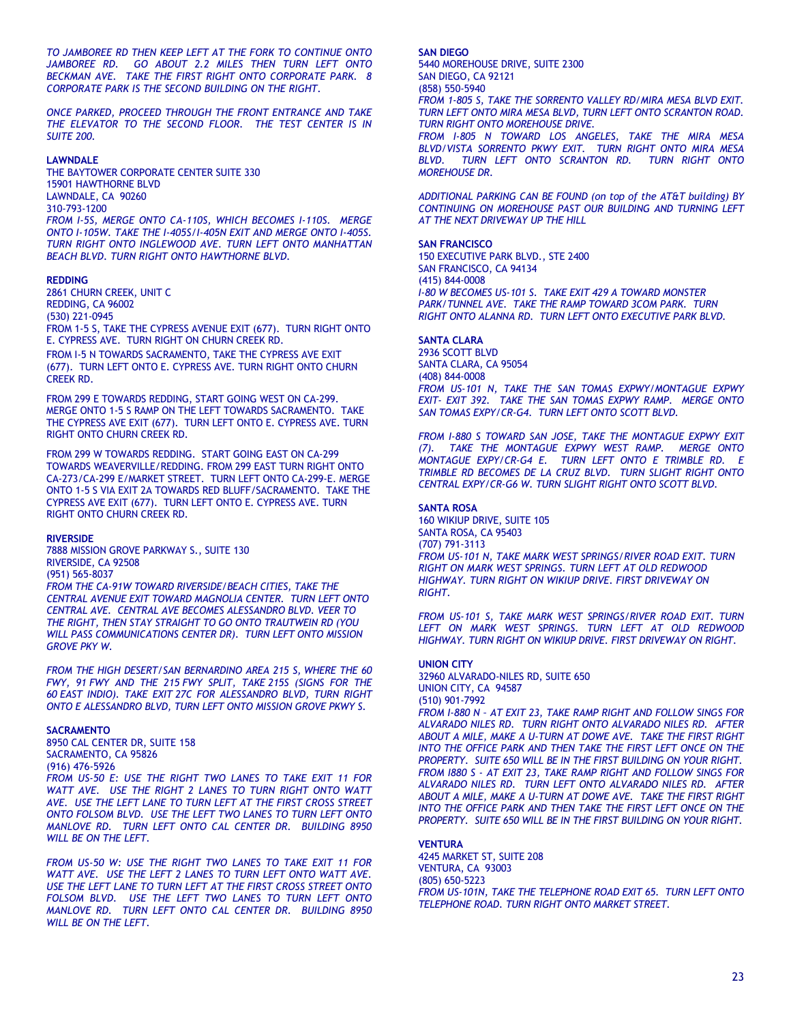*TO JAMBOREE RD THEN KEEP LEFT AT THE FORK TO CONTINUE ONTO JAMBOREE RD. GO ABOUT 2.2 MILES THEN TURN LEFT ONTO BECKMAN AVE. TAKE THE FIRST RIGHT ONTO CORPORATE PARK. 8 CORPORATE PARK IS THE SECOND BUILDING ON THE RIGHT.*

*ONCE PARKED, PROCEED THROUGH THE FRONT ENTRANCE AND TAKE THE ELEVATOR TO THE SECOND FLOOR. THE TEST CENTER IS IN SUITE 200.*

#### **LAWNDALE**

THE BAYTOWER CORPORATE CENTER SUITE 330 15901 HAWTHORNE BLVD LAWNDALE, CA 90260 310-793-1200 *FROM I-5S, MERGE ONTO CA-110S, WHICH BECOMES I-110S. MERGE ONTO I-105W. TAKE THE I-405S/I-405N EXIT AND MERGE ONTO I-405S. TURN RIGHT ONTO INGLEWOOD AVE. TURN LEFT ONTO MANHATTAN BEACH BLVD. TURN RIGHT ONTO HAWTHORNE BLVD.*

#### **REDDING**

2861 CHURN CREEK, UNIT C REDDING, CA 96002 (530) 221-0945 FROM 1-5 S, TAKE THE CYPRESS AVENUE EXIT (677). TURN RIGHT ONTO E. CYPRESS AVE. TURN RIGHT ON CHURN CREEK RD.

FROM I-5 N TOWARDS SACRAMENTO, TAKE THE CYPRESS AVE EXIT (677). TURN LEFT ONTO E. CYPRESS AVE. TURN RIGHT ONTO CHURN CREEK RD.

FROM 299 E TOWARDS REDDING, START GOING WEST ON CA-299. MERGE ONTO 1-5 S RAMP ON THE LEFT TOWARDS SACRAMENTO. TAKE THE CYPRESS AVE EXIT (677). TURN LEFT ONTO E. CYPRESS AVE. TURN RIGHT ONTO CHURN CREEK RD.

FROM 299 W TOWARDS REDDING. START GOING EAST ON CA-299 TOWARDS WEAVERVILLE/REDDING. FROM 299 EAST TURN RIGHT ONTO CA-273/CA-299 E/MARKET STREET. TURN LEFT ONTO CA-299-E. MERGE ONTO 1-5 S VIA EXIT 2A TOWARDS RED BLUFF/SACRAMENTO. TAKE THE CYPRESS AVE EXIT (677). TURN LEFT ONTO E. CYPRESS AVE. TURN RIGHT ONTO CHURN CREEK RD.

#### **RIVERSIDE**

7888 MISSION GROVE PARKWAY S., SUITE 130 RIVERSIDE, CA 92508 (951) 565-8037

*FROM THE CA-91W TOWARD RIVERSIDE/BEACH CITIES, TAKE THE CENTRAL AVENUE EXIT TOWARD MAGNOLIA CENTER. TURN LEFT ONTO CENTRAL AVE. CENTRAL AVE BECOMES ALESSANDRO BLVD. VEER TO THE RIGHT, THEN STAY STRAIGHT TO GO ONTO TRAUTWEIN RD (YOU WILL PASS COMMUNICATIONS CENTER DR). TURN LEFT ONTO MISSION GROVE PKY W.*

*FROM THE HIGH DESERT/SAN BERNARDINO AREA 215 S, WHERE THE 60 FWY, 91 FWY AND THE 215 FWY SPLIT, TAKE 215S (SIGNS FOR THE 60 EAST INDIO). TAKE EXIT 27C FOR ALESSANDRO BLVD, TURN RIGHT ONTO E ALESSANDRO BLVD, TURN LEFT ONTO MISSION GROVE PKWY S.*

#### **SACRAMENTO**

8950 CAL CENTER DR, SUITE 158 SACRAMENTO, CA 95826 (916) 476-5926

*FROM US-50 E: USE THE RIGHT TWO LANES TO TAKE EXIT 11 FOR WATT AVE. USE THE RIGHT 2 LANES TO TURN RIGHT ONTO WATT AVE. USE THE LEFT LANE TO TURN LEFT AT THE FIRST CROSS STREET ONTO FOLSOM BLVD. USE THE LEFT TWO LANES TO TURN LEFT ONTO MANLOVE RD. TURN LEFT ONTO CAL CENTER DR. BUILDING 8950 WILL BE ON THE LEFT.*

*FROM US-50 W: USE THE RIGHT TWO LANES TO TAKE EXIT 11 FOR WATT AVE. USE THE LEFT 2 LANES TO TURN LEFT ONTO WATT AVE. USE THE LEFT LANE TO TURN LEFT AT THE FIRST CROSS STREET ONTO FOLSOM BLVD. USE THE LEFT TWO LANES TO TURN LEFT ONTO MANLOVE RD. TURN LEFT ONTO CAL CENTER DR. BUILDING 8950 WILL BE ON THE LEFT.*

**SAN DIEGO** 5440 MOREHOUSE DRIVE, SUITE 2300 SAN DIEGO, CA 92121

#### (858) 550-5940

*FROM 1-805 S, TAKE THE SORRENTO VALLEY RD/MIRA MESA BLVD EXIT. TURN LEFT ONTO MIRA MESA BLVD, TURN LEFT ONTO SCRANTON ROAD. TURN RIGHT ONTO MOREHOUSE DRIVE.*

*FROM I-805 N TOWARD LOS ANGELES, TAKE THE MIRA MESA BLVD/VISTA SORRENTO PKWY EXIT. TURN RIGHT ONTO MIRA MESA BLVD. TURN LEFT ONTO SCRANTON RD. TURN RIGHT ONTO MOREHOUSE DR.*

*ADDITIONAL PARKING CAN BE FOUND (on top of the AT&T building) BY CONTINUING ON MOREHOUSE PAST OUR BUILDING AND TURNING LEFT AT THE NEXT DRIVEWAY UP THE HILL*

#### **SAN FRANCISCO**

150 EXECUTIVE PARK BLVD., STE 2400 SAN FRANCISCO, CA 94134 (415) 844-0008 *I-80 W BECOMES US-101 S. TAKE EXIT 429 A TOWARD MONSTER*  PARK/TUNNEL AVE. TAKE THE RAMP TOWARD 3COM PARK. TURN *RIGHT ONTO ALANNA RD. TURN LEFT ONTO EXECUTIVE PARK BLVD.*

#### **SANTA CLARA**

2936 SCOTT BLVD SANTA CLARA, CA 95054 (408) 844-0008 *FROM US-101 N, TAKE THE SAN TOMAS EXPWY/MONTAGUE EXPWY EXIT- EXIT 392. TAKE THE SAN TOMAS EXPWY RAMP. MERGE ONTO SAN TOMAS EXPY/CR-G4. TURN LEFT ONTO SCOTT BLVD.*

*FROM I-880 S TOWARD SAN JOSE, TAKE THE MONTAGUE EXPWY EXIT (7). TAKE THE MONTAGUE EXPWY WEST RAMP. MERGE ONTO MONTAGUE EXPY/CR-G4 E. TURN LEFT ONTO E TRIMBLE RD. E TRIMBLE RD BECOMES DE LA CRUZ BLVD. TURN SLIGHT RIGHT ONTO CENTRAL EXPY/CR-G6 W. TURN SLIGHT RIGHT ONTO SCOTT BLVD.*

#### **SANTA ROSA**

160 WIKIUP DRIVE, SUITE 105 SANTA ROSA, CA 95403 (707) 791-3113 *FROM US-101 N, TAKE MARK WEST SPRINGS/RIVER ROAD EXIT. TURN RIGHT ON MARK WEST SPRINGS. TURN LEFT AT OLD REDWOOD HIGHWAY. TURN RIGHT ON WIKIUP DRIVE. FIRST DRIVEWAY ON RIGHT.* 

*FROM US-101 S, TAKE MARK WEST SPRINGS/RIVER ROAD EXIT. TURN LEFT ON MARK WEST SPRINGS. TURN LEFT AT OLD REDWOOD HIGHWAY. TURN RIGHT ON WIKIUP DRIVE. FIRST DRIVEWAY ON RIGHT.*

#### **UNION CITY**

32960 ALVARADO-NILES RD, SUITE 650 UNION CITY, CA 94587 (510) 901-7992 *FROM I-880 N – AT EXIT 23, TAKE RAMP RIGHT AND FOLLOW SINGS FOR ALVARADO NILES RD. TURN RIGHT ONTO ALVARADO NILES RD. AFTER ABOUT A MILE, MAKE A U-TURN AT DOWE AVE. TAKE THE FIRST RIGHT INTO THE OFFICE PARK AND THEN TAKE THE FIRST LEFT ONCE ON THE PROPERTY. SUITE 650 WILL BE IN THE FIRST BUILDING ON YOUR RIGHT. FROM I880 S - AT EXIT 23, TAKE RAMP RIGHT AND FOLLOW SINGS FOR* 

*ALVARADO NILES RD. TURN LEFT ONTO ALVARADO NILES RD. AFTER ABOUT A MILE, MAKE A U-TURN AT DOWE AVE. TAKE THE FIRST RIGHT INTO THE OFFICE PARK AND THEN TAKE THE FIRST LEFT ONCE ON THE PROPERTY. SUITE 650 WILL BE IN THE FIRST BUILDING ON YOUR RIGHT.*

#### **VENTURA**

4245 MARKET ST, SUITE 208 VENTURA, CA 93003 (805) 650-5223 *FROM US-101N, TAKE THE TELEPHONE ROAD EXIT 65. TURN LEFT ONTO TELEPHONE ROAD. TURN RIGHT ONTO MARKET STREET.*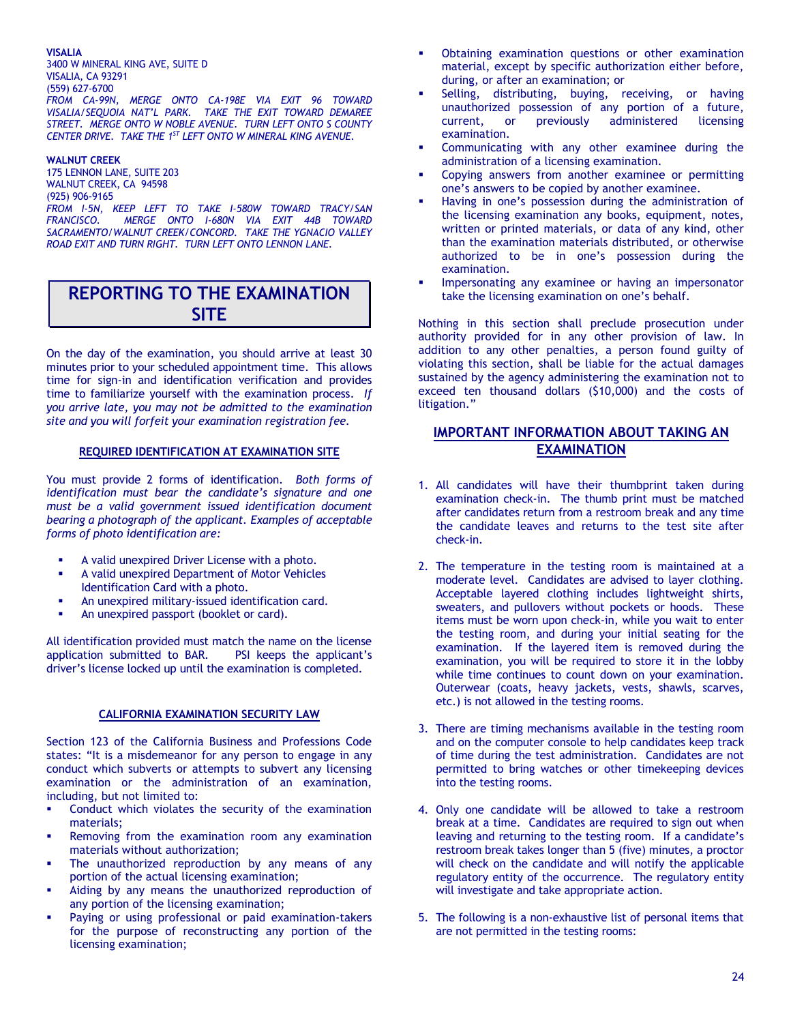#### **VISALIA**

3400 W MINERAL KING AVE, SUITE D VISALIA, CA 93291 (559) 627-6700 *FROM CA-99N, MERGE ONTO CA-198E VIA EXIT 96 TOWARD VISALIA/SEQUOIA NAT'L PARK. TAKE THE EXIT TOWARD DEMAREE STREET. MERGE ONTO W NOBLE AVENUE. TURN LEFT ONTO S COUNTY CENTER DRIVE. TAKE THE 1ST LEFT ONTO W MINERAL KING AVENUE.*

#### **WALNUT CREEK**

175 LENNON LANE, SUITE 203 WALNUT CREEK, CA 94598 (925) 906-9165 *FROM I-5N, KEEP LEFT TO TAKE I-580W TOWARD TRACY/SAN FRANCISCO. MERGE ONTO I-680N VIA EXIT 44B TOWARD SACRAMENTO/WALNUT CREEK/CONCORD. TAKE THE YGNACIO VALLEY ROAD EXIT AND TURN RIGHT. TURN LEFT ONTO LENNON LANE.*

## **REPORTING TO THE EXAMINATION SITE**

On the day of the examination, you should arrive at least 30 minutes prior to your scheduled appointment time. This allows time for sign-in and identification verification and provides time to familiarize yourself with the examination process. *If you arrive late, you may not be admitted to the examination site and you will forfeit your examination registration fee.*

#### **REQUIRED IDENTIFICATION AT EXAMINATION SITE**

You must provide 2 forms of identification. *Both forms of identification must bear the candidate's signature and one must be a valid government issued identification document bearing a photograph of the applicant. Examples of acceptable forms of photo identification are:*

- A valid unexpired Driver License with a photo.
- A valid unexpired Department of Motor Vehicles Identification Card with a photo.
- An unexpired military-issued identification card.
- An unexpired passport (booklet or card).

All identification provided must match the name on the license application submitted to BAR. PSI keeps the applicant's driver's license locked up until the examination is completed.

#### **CALIFORNIA EXAMINATION SECURITY LAW**

Section 123 of the California Business and Professions Code states: "It is a misdemeanor for any person to engage in any conduct which subverts or attempts to subvert any licensing examination or the administration of an examination, including, but not limited to:

- Conduct which violates the security of the examination materials;
- Removing from the examination room any examination materials without authorization;
- The unauthorized reproduction by any means of any portion of the actual licensing examination;
- Aiding by any means the unauthorized reproduction of any portion of the licensing examination;
- Paying or using professional or paid examination-takers for the purpose of reconstructing any portion of the licensing examination;
- Obtaining examination questions or other examination material, except by specific authorization either before, during, or after an examination; or
- Selling, distributing, buying, receiving, or having unauthorized possession of any portion of a future, current, or previously administered licensing examination.
- Communicating with any other examinee during the administration of a licensing examination.
- Copying answers from another examinee or permitting one's answers to be copied by another examinee.
- Having in one's possession during the administration of the licensing examination any books, equipment, notes, written or printed materials, or data of any kind, other than the examination materials distributed, or otherwise authorized to be in one's possession during the examination.
- Impersonating any examinee or having an impersonator take the licensing examination on one's behalf.

Nothing in this section shall preclude prosecution under authority provided for in any other provision of law. In addition to any other penalties, a person found guilty of violating this section, shall be liable for the actual damages sustained by the agency administering the examination not to exceed ten thousand dollars (\$10,000) and the costs of litigation."

### **IMPORTANT INFORMATION ABOUT TAKING AN EXAMINATION**

- 1. All candidates will have their thumbprint taken during examination check-in. The thumb print must be matched after candidates return from a restroom break and any time the candidate leaves and returns to the test site after check-in.
- 2. The temperature in the testing room is maintained at a moderate level. Candidates are advised to layer clothing. Acceptable layered clothing includes lightweight shirts, sweaters, and pullovers without pockets or hoods. These items must be worn upon check-in, while you wait to enter the testing room, and during your initial seating for the examination. If the layered item is removed during the examination, you will be required to store it in the lobby while time continues to count down on your examination. Outerwear (coats, heavy jackets, vests, shawls, scarves, etc.) is not allowed in the testing rooms.
- 3. There are timing mechanisms available in the testing room and on the computer console to help candidates keep track of time during the test administration. Candidates are not permitted to bring watches or other timekeeping devices into the testing rooms.
- 4. Only one candidate will be allowed to take a restroom break at a time. Candidates are required to sign out when leaving and returning to the testing room. If a candidate's restroom break takes longer than 5 (five) minutes, a proctor will check on the candidate and will notify the applicable regulatory entity of the occurrence. The regulatory entity will investigate and take appropriate action.
- 5. The following is a non-exhaustive list of personal items that are not permitted in the testing rooms: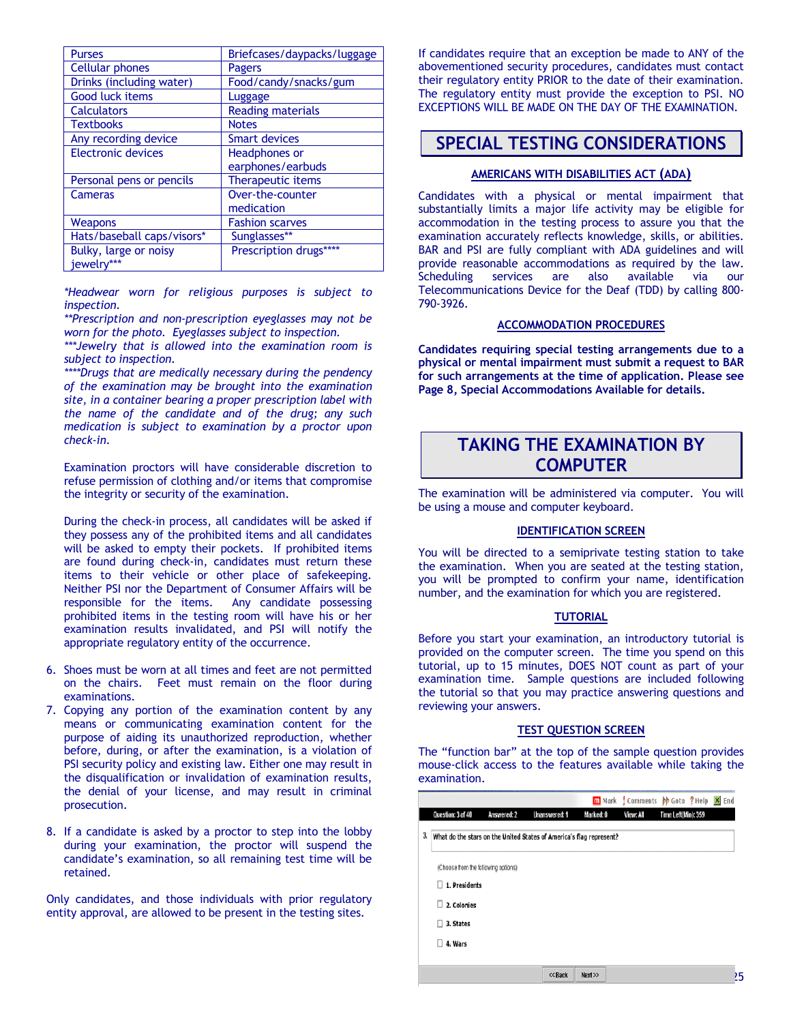| <b>Purses</b>              | Briefcases/daypacks/luggage |
|----------------------------|-----------------------------|
| <b>Cellular phones</b>     | Pagers                      |
| Drinks (including water)   | Food/candy/snacks/gum       |
| Good luck items            | Luggage                     |
| <b>Calculators</b>         | <b>Reading materials</b>    |
| <b>Textbooks</b>           | <b>Notes</b>                |
| Any recording device       | <b>Smart devices</b>        |
| Electronic devices         | Headphones or               |
|                            | earphones/earbuds           |
| Personal pens or pencils   | <b>Therapeutic items</b>    |
| Cameras                    | Over-the-counter            |
|                            | medication                  |
| Weapons                    | <b>Fashion scarves</b>      |
| Hats/baseball caps/visors* | Sunglasses**                |
| Bulky, large or noisy      | Prescription drugs****      |
| jewelry***                 |                             |

*\*Headwear worn for religious purposes is subject to inspection.*

*\*\*Prescription and non-prescription eyeglasses may not be worn for the photo. Eyeglasses subject to inspection.*

*\*\*\*Jewelry that is allowed into the examination room is subject to inspection.*

*\*\*\*\*Drugs that are medically necessary during the pendency of the examination may be brought into the examination site, in a container bearing a proper prescription label with the name of the candidate and of the drug; any such medication is subject to examination by a proctor upon check-in.*

Examination proctors will have considerable discretion to refuse permission of clothing and/or items that compromise the integrity or security of the examination.

During the check-in process, all candidates will be asked if they possess any of the prohibited items and all candidates will be asked to empty their pockets. If prohibited items are found during check-in, candidates must return these items to their vehicle or other place of safekeeping. Neither PSI nor the Department of Consumer Affairs will be responsible for the items. Any candidate possessing prohibited items in the testing room will have his or her examination results invalidated, and PSI will notify the appropriate regulatory entity of the occurrence.

- 6. Shoes must be worn at all times and feet are not permitted on the chairs. Feet must remain on the floor during examinations.
- 7. Copying any portion of the examination content by any means or communicating examination content for the purpose of aiding its unauthorized reproduction, whether before, during, or after the examination, is a violation of PSI security policy and existing law. Either one may result in the disqualification or invalidation of examination results, the denial of your license, and may result in criminal prosecution.
- 8. If a candidate is asked by a proctor to step into the lobby during your examination, the proctor will suspend the candidate's examination, so all remaining test time will be retained.

Only candidates, and those individuals with prior regulatory entity approval, are allowed to be present in the testing sites.

If candidates require that an exception be made to ANY of the abovementioned security procedures, candidates must contact their regulatory entity PRIOR to the date of their examination. The regulatory entity must provide the exception to PSI. NO EXCEPTIONS WILL BE MADE ON THE DAY OF THE EXAMINATION.

# **SPECIAL TESTING CONSIDERATIONS**

### **AMERICANS WITH DISABILITIES ACT (ADA)**

Candidates with a physical or mental impairment that substantially limits a major life activity may be eligible for accommodation in the testing process to assure you that the examination accurately reflects knowledge, skills, or abilities. BAR and PSI are fully compliant with ADA guidelines and will provide reasonable accommodations as required by the law. Scheduling services are also available via our Telecommunications Device for the Deaf (TDD) by calling 800- 790-3926.

#### **ACCOMMODATION PROCEDURES**

**Candidates requiring special testing arrangements due to a physical or mental impairment must submit a request to BAR for such arrangements at the time of application. Please see Page 8, Special Accommodations Available for details.**

## **TAKING THE EXAMINATION BY COMPUTER**

The examination will be administered via computer. You will be using a mouse and computer keyboard.

#### **IDENTIFICATION SCREEN**

You will be directed to a semiprivate testing station to take the examination. When you are seated at the testing station, you will be prompted to confirm your name, identification number, and the examination for which you are registered.

#### **TUTORIAL**

Before you start your examination, an introductory tutorial is provided on the computer screen. The time you spend on this tutorial, up to 15 minutes, DOES NOT count as part of your examination time. Sample questions are included following the tutorial so that you may practice answering questions and reviewing your answers.

#### **TEST QUESTION SCREEN**

The "function bar" at the top of the sample question provides mouse-click access to the features available while taking the examination.

|    |                                                                     |                    |               |           |           | m Mark Comments b Goto ? Help X End |   |
|----|---------------------------------------------------------------------|--------------------|---------------|-----------|-----------|-------------------------------------|---|
|    | Question: 3 of 40                                                   | <b>Answered: 2</b> | Unanswered: 1 | Marked: 0 | View: All | Time Left(Min): 359                 |   |
| 3, | What do the stars on the United States of America's flag represent? |                    |               |           |           |                                     |   |
|    | (Choose from the following options)                                 |                    |               |           |           |                                     |   |
|    | 1. Presidents                                                       |                    |               |           |           |                                     |   |
|    | 2. Colonies<br>Ш                                                    |                    |               |           |           |                                     |   |
|    | 3. States                                                           |                    |               |           |           |                                     |   |
|    | 4. Wars                                                             |                    |               |           |           |                                     |   |
|    |                                                                     |                    |               |           |           |                                     |   |
|    |                                                                     |                    | << Back       | Next      |           |                                     | , |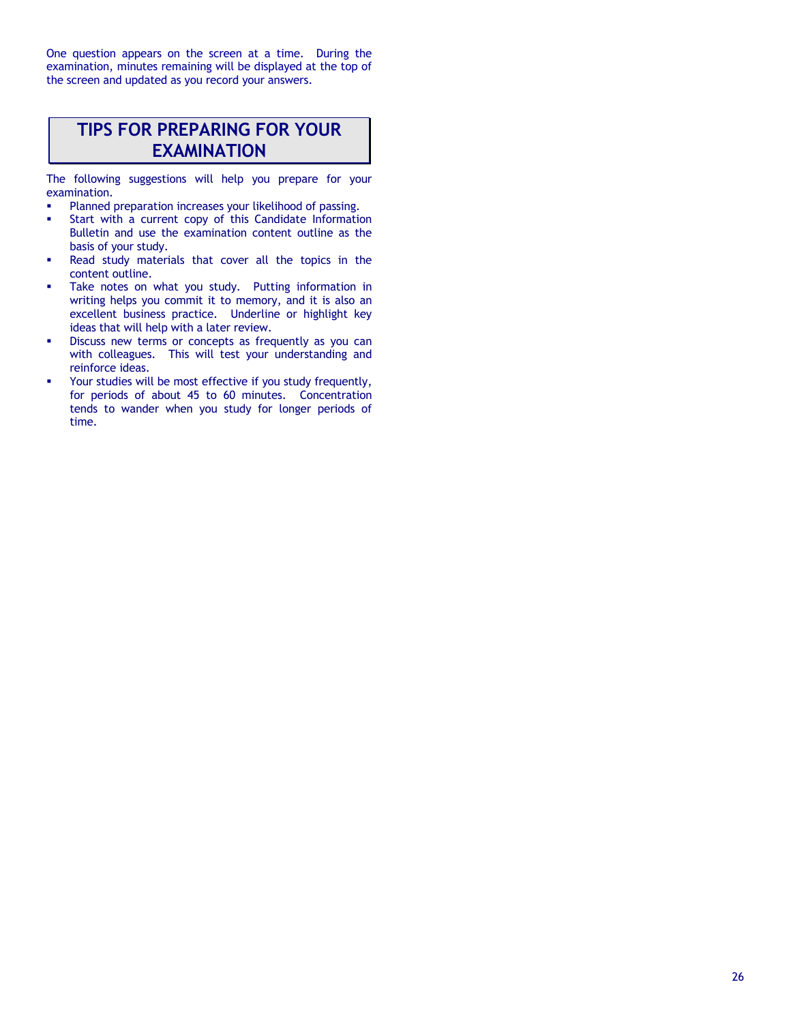One question appears on the screen at a time. During the examination, minutes remaining will be displayed at the top of the screen and updated as you record your answers.

# **TIPS FOR PREPARING FOR YOUR EXAMINATION**

The following suggestions will help you prepare for your examination.

- Planned preparation increases your likelihood of passing.
- Start with a current copy of this Candidate Information Bulletin and use the examination content outline as the basis of your study.
- Read study materials that cover all the topics in the content outline.
- Take notes on what you study. Putting information in writing helps you commit it to memory, and it is also an excellent business practice. Underline or highlight key ideas that will help with a later review.
- Discuss new terms or concepts as frequently as you can with colleagues. This will test your understanding and reinforce ideas.
- Your studies will be most effective if you study frequently, for periods of about 45 to 60 minutes. Concentration tends to wander when you study for longer periods of time.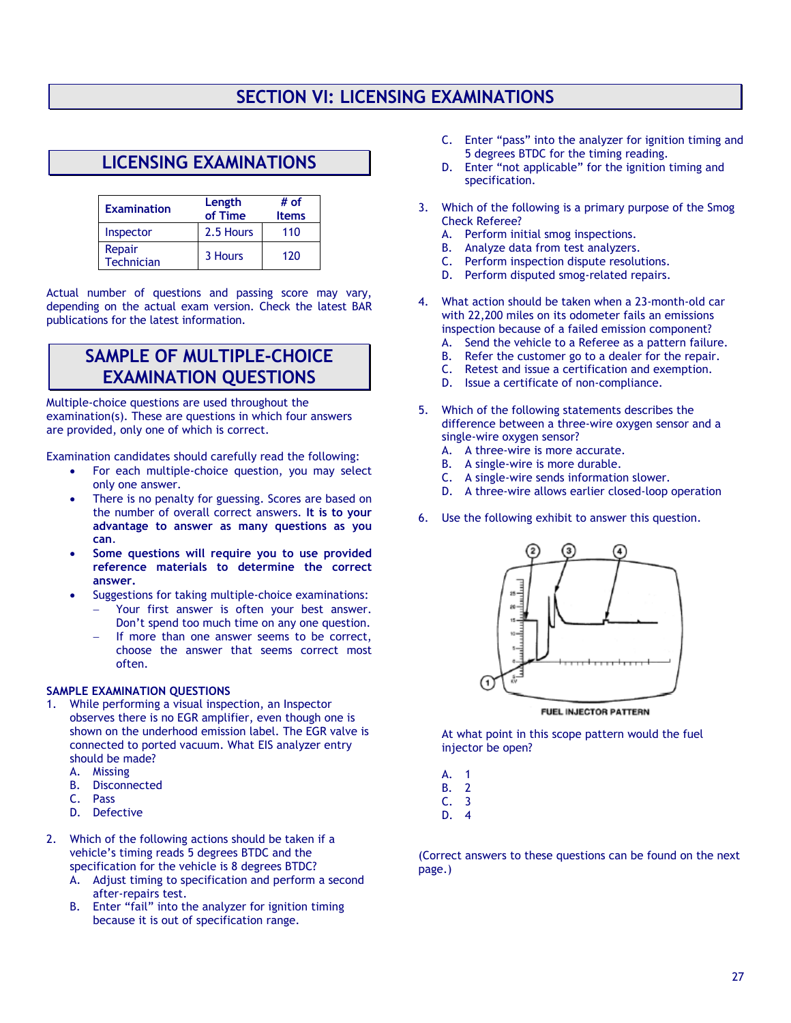# **SECTION VI: LICENSING EXAMINATIONS**

# **LICENSING EXAMINATIONS**

| <b>Examination</b>   | Length<br>of Time | # of<br><b>Items</b> |
|----------------------|-------------------|----------------------|
| Inspector            | 2.5 Hours         | 110                  |
| Repair<br>Technician | 3 Hours           | 120                  |

Actual number of questions and passing score may vary, depending on the actual exam version. Check the latest BAR publications for the latest information.

## **SAMPLE OF MULTIPLE-CHOICE EXAMINATION QUESTIONS**

Multiple-choice questions are used throughout the examination(s). These are questions in which four answers are provided, only one of which is correct.

Examination candidates should carefully read the following:

- For each multiple-choice question, you may select only one answer.
- There is no penalty for guessing. Scores are based on the number of overall correct answers. **It is to your advantage to answer as many questions as you can**.
- **Some questions will require you to use provided reference materials to determine the correct answer.**
- Suggestions for taking multiple-choice examinations:
	- Your first answer is often your best answer. Don't spend too much time on any one question.
	- If more than one answer seems to be correct, choose the answer that seems correct most often.

### **SAMPLE EXAMINATION QUESTIONS**

- 1. While performing a visual inspection, an Inspector observes there is no EGR amplifier, even though one is shown on the underhood emission label. The EGR valve is connected to ported vacuum. What EIS analyzer entry should be made?
	- A. Missing
	- B. Disconnected
	- C. Pass
	- D. Defective
- 2. Which of the following actions should be taken if a vehicle's timing reads 5 degrees BTDC and the specification for the vehicle is 8 degrees BTDC?
	- A. Adjust timing to specification and perform a second after-repairs test.
	- B. Enter "fail" into the analyzer for ignition timing because it is out of specification range.
- C. Enter "pass" into the analyzer for ignition timing and 5 degrees BTDC for the timing reading.
- D. Enter "not applicable" for the ignition timing and specification.
- 3. Which of the following is a primary purpose of the Smog Check Referee?
	- A. Perform initial smog inspections.
	- B. Analyze data from test analyzers.
	- C. Perform inspection dispute resolutions.<br>D. Perform disputed smog-related repairs.
	- Perform disputed smog-related repairs.
- 4. What action should be taken when a 23-month-old car with 22,200 miles on its odometer fails an emissions inspection because of a failed emission component?
	- A. Send the vehicle to a Referee as a pattern failure.
	- B. Refer the customer go to a dealer for the repair.
	- C. Retest and issue a certification and exemption.
	- D. Issue a certificate of non-compliance.
- 5. Which of the following statements describes the difference between a three-wire oxygen sensor and a single-wire oxygen sensor?
	- A. A three-wire is more accurate.
	- B. A single-wire is more durable.
	- C. A single-wire sends information slower.
	- D. A three-wire allows earlier closed-loop operation
- 6. Use the following exhibit to answer this question.



FUEL INJECTOR PATTERN

At what point in this scope pattern would the fuel injector be open?

| А. | 1 |
|----|---|
| В. | 2 |
| c. | 3 |
|    |   |

D. 4

(Correct answers to these questions can be found on the next page.)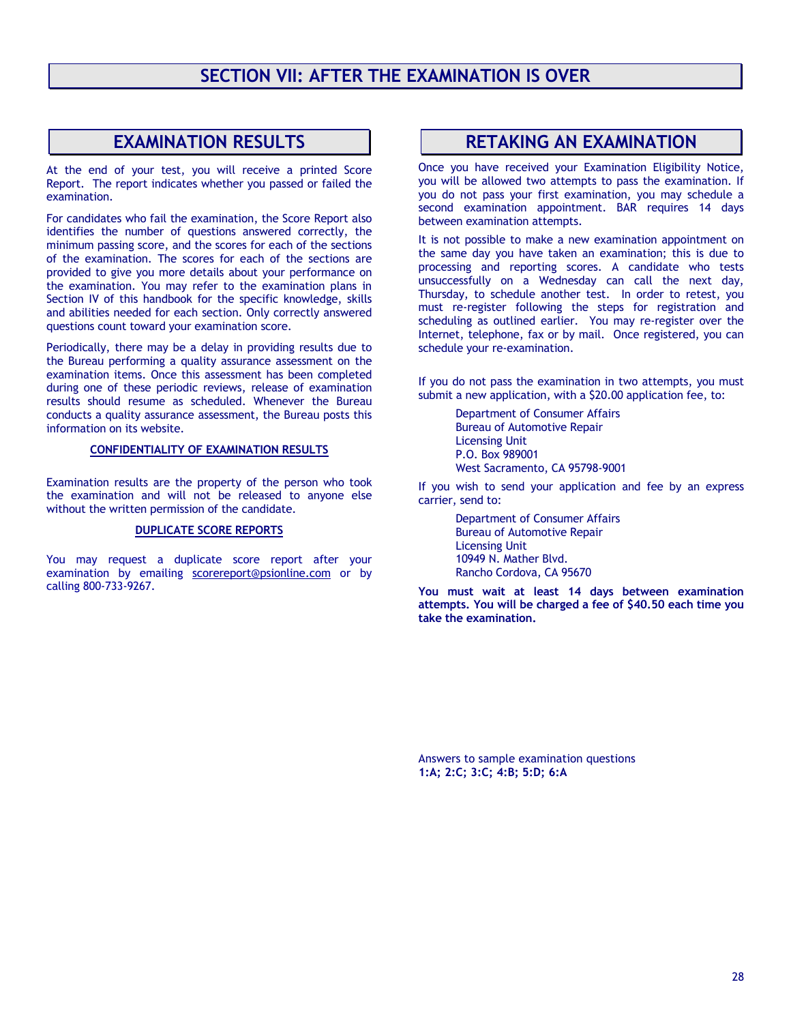## **EXAMINATION RESULTS**

At the end of your test, you will receive a printed Score Report. The report indicates whether you passed or failed the examination.

For candidates who fail the examination, the Score Report also identifies the number of questions answered correctly, the minimum passing score, and the scores for each of the sections of the examination. The scores for each of the sections are provided to give you more details about your performance on the examination. You may refer to the examination plans in Section IV of this handbook for the specific knowledge, skills and abilities needed for each section. Only correctly answered questions count toward your examination score.

Periodically, there may be a delay in providing results due to the Bureau performing a quality assurance assessment on the examination items. Once this assessment has been completed during one of these periodic reviews, release of examination results should resume as scheduled. Whenever the Bureau conducts a quality assurance assessment, the Bureau posts this information on its website.

#### **CONFIDENTIALITY OF EXAMINATION RESULTS**

Examination results are the property of the person who took the examination and will not be released to anyone else without the written permission of the candidate.

#### **DUPLICATE SCORE REPORTS**

You may request a duplicate score report after your examination by emailing [scorereport@psionline.com](mailto:scorereport@psionline.com) or by calling 800-733-9267.

### **RETAKING AN EXAMINATION**

Once you have received your Examination Eligibility Notice, you will be allowed two attempts to pass the examination. If you do not pass your first examination, you may schedule a second examination appointment. BAR requires 14 days between examination attempts.

It is not possible to make a new examination appointment on the same day you have taken an examination; this is due to processing and reporting scores. A candidate who tests unsuccessfully on a Wednesday can call the next day, Thursday, to schedule another test. In order to retest, you must re-register following the steps for registration and scheduling as outlined earlier. You may re-register over the Internet, telephone, fax or by mail. Once registered, you can schedule your re-examination.

If you do not pass the examination in two attempts, you must submit a new application, with a \$20.00 application fee, to:

> Department of Consumer Affairs Bureau of Automotive Repair Licensing Unit P.O. Box 989001 West Sacramento, CA 95798-9001

If you wish to send your application and fee by an express carrier, send to:

> Department of Consumer Affairs Bureau of Automotive Repair Licensing Unit 10949 N. Mather Blvd. Rancho Cordova, CA 95670

**You must wait at least 14 days between examination attempts. You will be charged a fee of \$40.50 each time you take the examination.** 

Answers to sample examination questions **1:A; 2:C; 3:C; 4:B; 5:D; 6:A**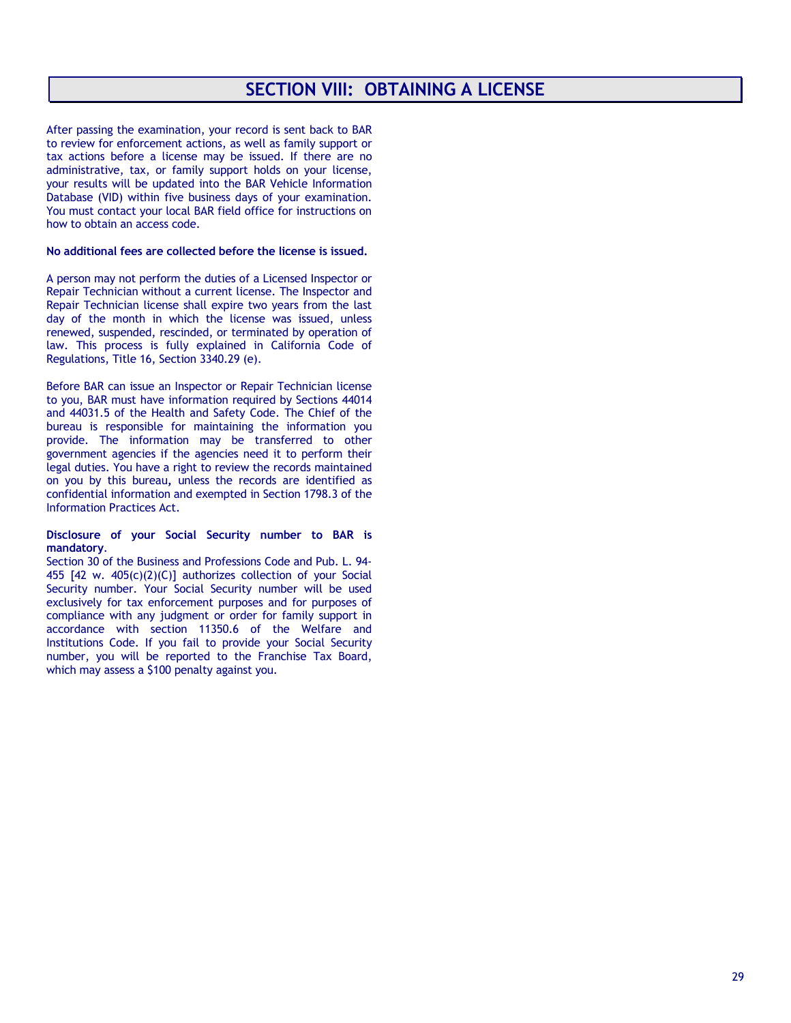# **SECTION VIII: OBTAINING A LICENSE**

After passing the examination, your record is sent back to BAR to review for enforcement actions, as well as family support or tax actions before a license may be issued. If there are no administrative, tax, or family support holds on your license, your results will be updated into the BAR Vehicle Information Database (VID) within five business days of your examination. You must contact your local BAR field office for instructions on how to obtain an access code.

#### **No additional fees are collected before the license is issued.**

A person may not perform the duties of a Licensed Inspector or Repair Technician without a current license. The Inspector and Repair Technician license shall expire two years from the last day of the month in which the license was issued, unless renewed, suspended, rescinded, or terminated by operation of law. This process is fully explained in California Code of Regulations, Title 16, Section 3340.29 (e).

Before BAR can issue an Inspector or Repair Technician license to you, BAR must have information required by Sections 44014 and 44031.5 of the Health and Safety Code. The Chief of the bureau is responsible for maintaining the information you provide. The information may be transferred to other government agencies if the agencies need it to perform their legal duties. You have a right to review the records maintained on you by this bureau**,** unless the records are identified as confidential information and exempted in Section 1798.3 of the Information Practices Act.

#### **Disclosure of your Social Security number to BAR is mandatory**.

Section 30 of the Business and Professions Code and Pub. L. 94- 455 [42 w. 405(c)(2)(C)] authorizes collection of your Social Security number. Your Social Security number will be used exclusively for tax enforcement purposes and for purposes of compliance with any judgment or order for family support in accordance with section 11350.6 of the Welfare and Institutions Code. If you fail to provide your Social Security number, you will be reported to the Franchise Tax Board, which may assess a \$100 penalty against you.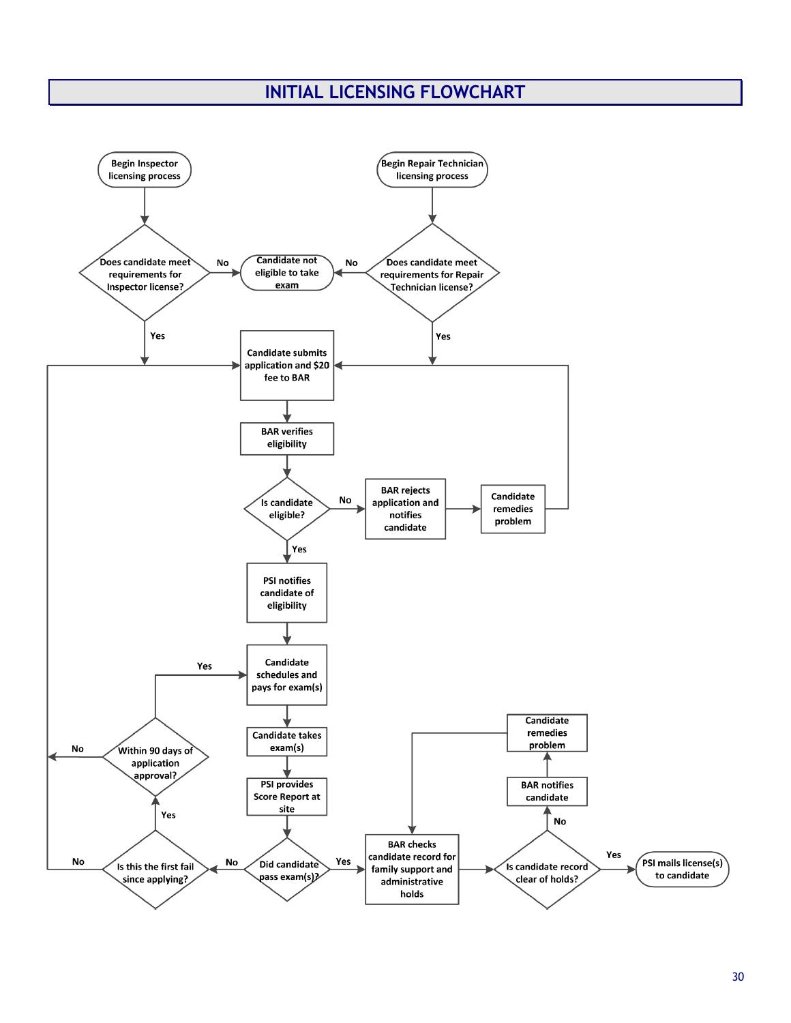# **INITIAL LICENSING FLOWCHART**

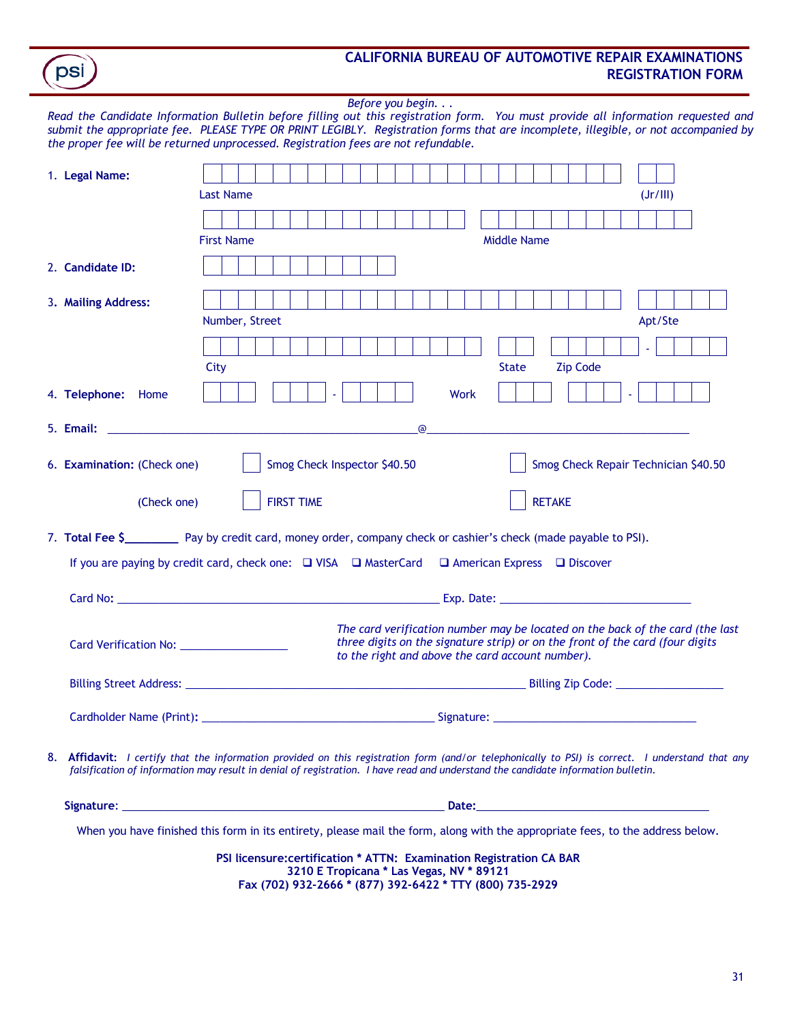| <b>CALIFORNIA BUREAU OF AUTOMOTIVE REPAIR EXAMINATIONS</b> |
|------------------------------------------------------------|
| <b>REGISTRATION FORM</b>                                   |

*Before you begin. . . Read the Candidate Information Bulletin before filling out this registration form. You must provide all information requested and submit the appropriate fee. PLEASE TYPE OR PRINT LEGIBLY. Registration forms that are incomplete, illegible, or not accompanied by the proper fee will be returned unprocessed. Registration fees are not refundable.*

psi

| 1. Legal Name:              |                                                                                                                                                                                                                                                                                       |
|-----------------------------|---------------------------------------------------------------------------------------------------------------------------------------------------------------------------------------------------------------------------------------------------------------------------------------|
|                             | <b>Last Name</b><br>(Jr/III)                                                                                                                                                                                                                                                          |
|                             |                                                                                                                                                                                                                                                                                       |
|                             | <b>First Name</b><br><b>Middle Name</b>                                                                                                                                                                                                                                               |
| 2. Candidate ID:            |                                                                                                                                                                                                                                                                                       |
| 3. Mailing Address:         |                                                                                                                                                                                                                                                                                       |
|                             | Number, Street<br>Apt/Ste                                                                                                                                                                                                                                                             |
|                             |                                                                                                                                                                                                                                                                                       |
|                             | <b>Zip Code</b><br>City<br><b>State</b>                                                                                                                                                                                                                                               |
| 4. Telephone: Home          | <b>Work</b><br>$\omega$                                                                                                                                                                                                                                                               |
| 5. Email:                   | $^{\circ}$<br><u> 1989 - Johann Harry Harry Harry Harry Harry Harry Harry Harry Harry Harry Harry Harry Harry Harry Harry Harry</u><br>the control of the control of the control of the control of the control of the control of                                                      |
| 6. Examination: (Check one) | Smog Check Inspector \$40.50<br>Smog Check Repair Technician \$40.50                                                                                                                                                                                                                  |
| (Check one)                 | <b>RETAKE</b><br><b>FIRST TIME</b>                                                                                                                                                                                                                                                    |
|                             | 7. Total Fee \$___________ Pay by credit card, money order, company check or cashier's check (made payable to PSI).                                                                                                                                                                   |
|                             | If you are paying by credit card, check one: □ VISA □ MasterCard □ American Express □ Discover                                                                                                                                                                                        |
|                             |                                                                                                                                                                                                                                                                                       |
|                             | The card verification number may be located on the back of the card (the last<br>three digits on the signature strip) or on the front of the card (four digits<br>to the right and above the card account number).                                                                    |
|                             |                                                                                                                                                                                                                                                                                       |
|                             |                                                                                                                                                                                                                                                                                       |
|                             | 8. Affidavit: I certify that the information provided on this registration form (and/or telephonically to PSI) is correct. I understand that any<br>falsification of information may result in denial of registration. I have read and understand the candidate information bulletin. |
|                             |                                                                                                                                                                                                                                                                                       |
|                             | When you have finished this form in its entirety, please mail the form, along with the appropriate fees, to the address below.<br><b>DCL Hooperpoont:Gentler # ATTN: Francischen Demistration CA DAD</b>                                                                              |

**PSI licensure:certification \* ATTN: Examination Registration CA BAR 3210 E Tropicana \* Las Vegas, NV \* 89121 Fax (702) 932-2666 \* (877) 392-6422 \* TTY (800) 735-2929**